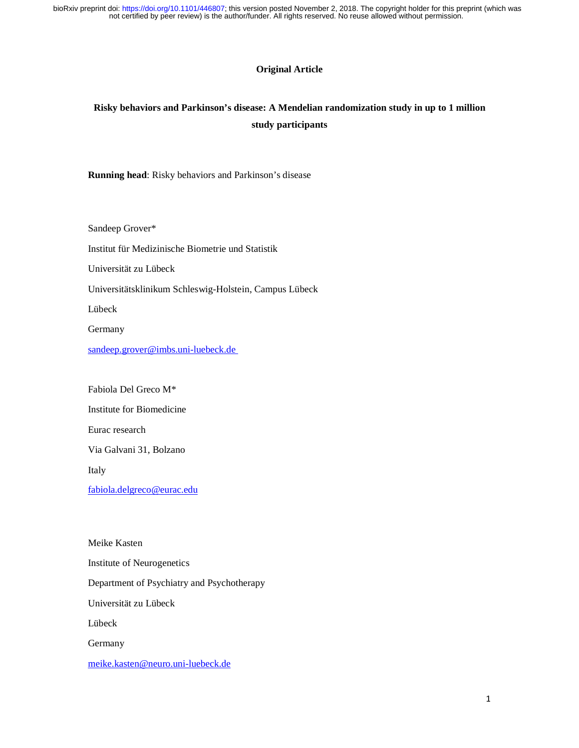# **Original Article**

# **Risky behaviors and Parkinson's disease: A Mendelian randomization study in up to 1 million study participants**

**Running head**: Risky behaviors and Parkinson's disease

Sandeep Grover\* Institut für Medizinische Biometrie und Statistik Universität zu Lübeck Universitätsklinikum Schleswig-Holstein, Campus Lübeck Lübeck Germany sandeep.grover@imbs.uni-luebeck.de

Fabiola Del Greco M\*

Institute for Biomedicine

Eurac research

Via Galvani 31, Bolzano

Italy

fabiola.delgreco@eurac.edu

Meike Kasten Institute of Neurogenetics Department of Psychiatry and Psychotherapy Universität zu Lübeck Lübeck Germany meike.kasten@neuro.uni-luebeck.de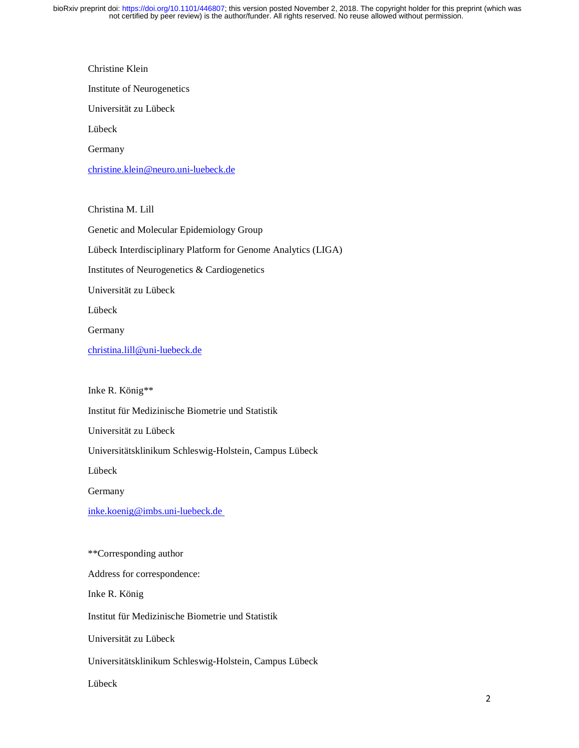Christine Klein Institute of Neurogenetics Universität zu Lübeck Lübeck Germany christine.klein@neuro.uni-luebeck.de

Christina M. Lill Genetic and Molecular Epidemiology Group Lübeck Interdisciplinary Platform for Genome Analytics (LIGA) Institutes of Neurogenetics & Cardiogenetics Universität zu Lübeck Lübeck Germany christina.lill@uni-luebeck.de

Inke R. König\*\*

Institut für Medizinische Biometrie und Statistik

Universität zu Lübeck

Universitätsklinikum Schleswig-Holstein, Campus Lübeck

Lübeck

Germany

inke.koenig@imbs.uni-luebeck.de

\*\*Corresponding author Address for correspondence: Inke R. König Institut für Medizinische Biometrie und Statistik Universität zu Lübeck Universitätsklinikum Schleswig-Holstein, Campus Lübeck Lübeck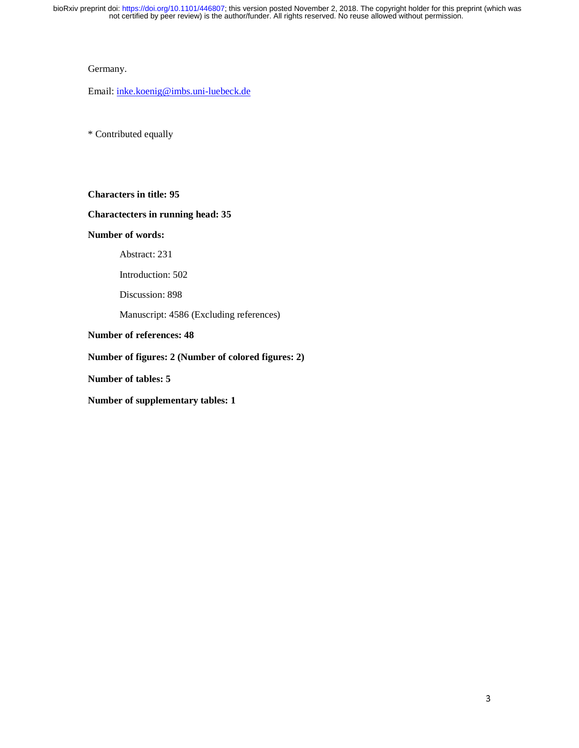#### Germany.

Email: inke.koenig@imbs.uni-luebeck.de

\* Contributed equally

**Characters in title: 95** 

# **Charactecters in running head: 35**

# **Number of words:**

Abstract: 231

Introduction: 502

Discussion: 898

Manuscript: 4586 (Excluding references)

# **Number of references: 48**

# **Number of figures: 2 (Number of colored figures: 2)**

**Number of tables: 5** 

**Number of supplementary tables: 1**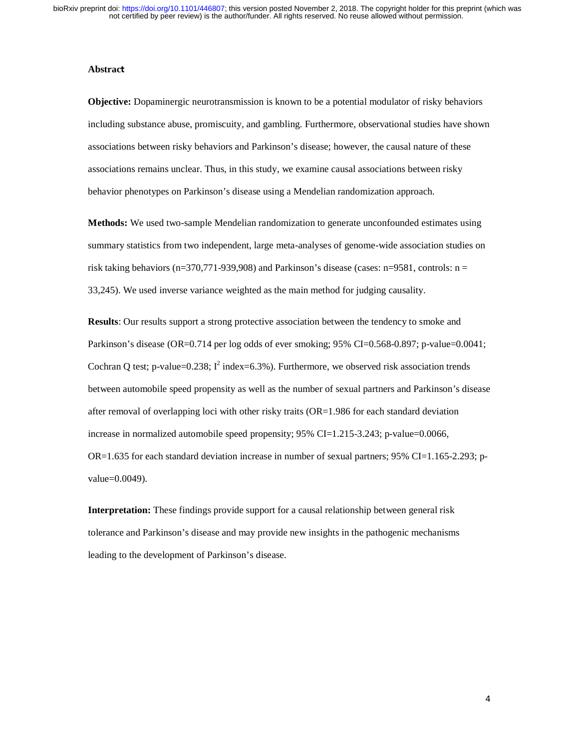#### **Abstrac**<sup>t</sup>

**Objective:** Dopaminergic neurotransmission is known to be a potential modulator of risky behaviors including substance abuse, promiscuity, and gambling. Furthermore, observational studies have shown associations between risky behaviors and Parkinson's disease; however, the causal nature of these associations remains unclear. Thus, in this study, we examine causal associations between risky behavior phenotypes on Parkinson's disease using a Mendelian randomization approach.

**Methods:** We used two-sample Mendelian randomization to generate unconfounded estimates using summary statistics from two independent, large meta-analyses of genome-wide association studies on risk taking behaviors ( $n=370,771-939,908$ ) and Parkinson's disease (cases:  $n=9581$ , controls:  $n=$ 33,245). We used inverse variance weighted as the main method for judging causality.

**Results**: Our results support a strong protective association between the tendency to smoke and Parkinson's disease (OR=0.714 per log odds of ever smoking; 95% CI=0.568-0.897; p-value=0.0041; Cochran Q test; p-value= $0.238$ ;  $I^2$  index= $6.3\%$ ). Furthermore, we observed risk association trends between automobile speed propensity as well as the number of sexual partners and Parkinson's disease after removal of overlapping loci with other risky traits (OR=1.986 for each standard deviation increase in normalized automobile speed propensity; 95% CI=1.215-3.243; p-value=0.0066,  $OR=1.635$  for each standard deviation increase in number of sexual partners; 95% CI=1.165-2.293; pvalue=0.0049).

**Interpretation:** These findings provide support for a causal relationship between general risk tolerance and Parkinson's disease and may provide new insights in the pathogenic mechanisms leading to the development of Parkinson's disease.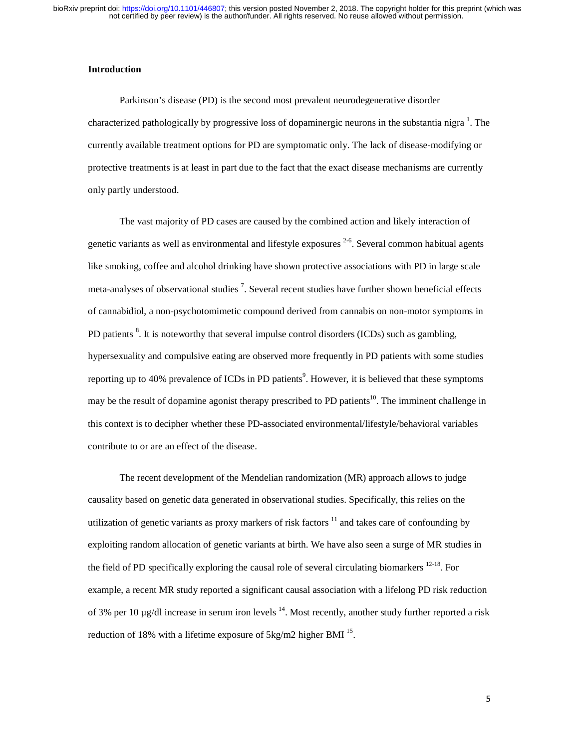#### **Introduction**

Parkinson's disease (PD) is the second most prevalent neurodegenerative disorder characterized pathologically by progressive loss of dopaminergic neurons in the substantia nigra  $^1$ . The currently available treatment options for PD are symptomatic only. The lack of disease-modifying or protective treatments is at least in part due to the fact that the exact disease mechanisms are currently only partly understood.

The vast majority of PD cases are caused by the combined action and likely interaction of genetic variants as well as environmental and lifestyle exposures  $2-6$ . Several common habitual agents like smoking, coffee and alcohol drinking have shown protective associations with PD in large scale meta-analyses of observational studies<sup>7</sup>. Several recent studies have further shown beneficial effects of cannabidiol, a non-psychotomimetic compound derived from cannabis on non-motor symptoms in PD patients <sup>8</sup>. It is noteworthy that several impulse control disorders (ICDs) such as gambling, hypersexuality and compulsive eating are observed more frequently in PD patients with some studies reporting up to 40% prevalence of ICDs in PD patients<sup>9</sup>. However, it is believed that these symptoms may be the result of dopamine agonist therapy prescribed to PD patients<sup>10</sup>. The imminent challenge in this context is to decipher whether these PD-associated environmental/lifestyle/behavioral variables contribute to or are an effect of the disease.

The recent development of the Mendelian randomization (MR) approach allows to judge causality based on genetic data generated in observational studies. Specifically, this relies on the utilization of genetic variants as proxy markers of risk factors  $11$  and takes care of confounding by exploiting random allocation of genetic variants at birth. We have also seen a surge of MR studies in the field of PD specifically exploring the causal role of several circulating biomarkers  $12-18$ . For example, a recent MR study reported a significant causal association with a lifelong PD risk reduction of 3% per 10  $\mu$ g/dl increase in serum iron levels <sup>14</sup>. Most recently, another study further reported a risk reduction of 18% with a lifetime exposure of 5kg/m2 higher BMI <sup>15</sup>.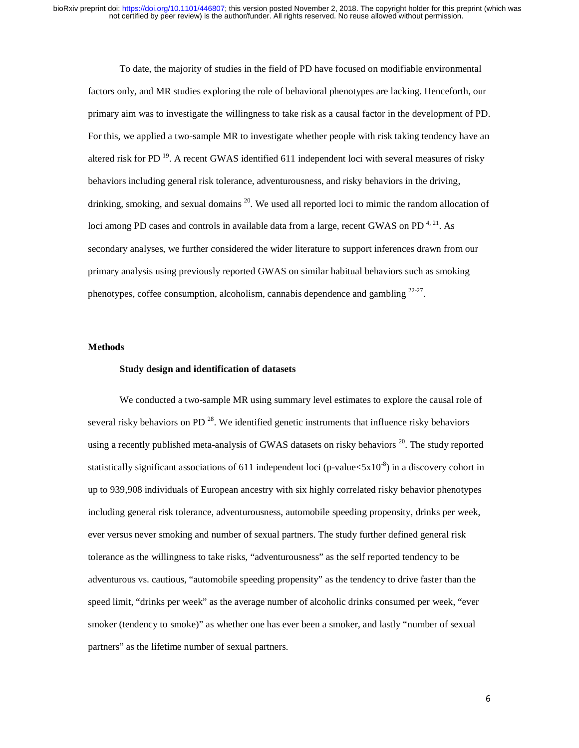To date, the majority of studies in the field of PD have focused on modifiable environmental factors only, and MR studies exploring the role of behavioral phenotypes are lacking. Henceforth, our primary aim was to investigate the willingness to take risk as a causal factor in the development of PD. For this, we applied a two-sample MR to investigate whether people with risk taking tendency have an altered risk for PD<sup>19</sup>. A recent GWAS identified 611 independent loci with several measures of risky behaviors including general risk tolerance, adventurousness, and risky behaviors in the driving, drinking, smoking, and sexual domains  $20$ . We used all reported loci to mimic the random allocation of loci among PD cases and controls in available data from a large, recent GWAS on PD $^{4, 21}$ . As secondary analyses, we further considered the wider literature to support inferences drawn from our primary analysis using previously reported GWAS on similar habitual behaviors such as smoking phenotypes, coffee consumption, alcoholism, cannabis dependence and gambling  $22-27$ .

#### **Methods**

# **Study design and identification of datasets**

We conducted a two-sample MR using summary level estimates to explore the causal role of several risky behaviors on PD<sup>28</sup>. We identified genetic instruments that influence risky behaviors using a recently published meta-analysis of GWAS datasets on risky behaviors  $2^0$ . The study reported statistically significant associations of 611 independent loci (p-value $\langle 5x10^{-8} \rangle$ ) in a discovery cohort in up to 939,908 individuals of European ancestry with six highly correlated risky behavior phenotypes including general risk tolerance, adventurousness, automobile speeding propensity, drinks per week, ever versus never smoking and number of sexual partners. The study further defined general risk tolerance as the willingness to take risks, "adventurousness" as the self reported tendency to be adventurous vs. cautious, "automobile speeding propensity" as the tendency to drive faster than the speed limit, "drinks per week" as the average number of alcoholic drinks consumed per week, "ever smoker (tendency to smoke)" as whether one has ever been a smoker, and lastly "number of sexual partners" as the lifetime number of sexual partners.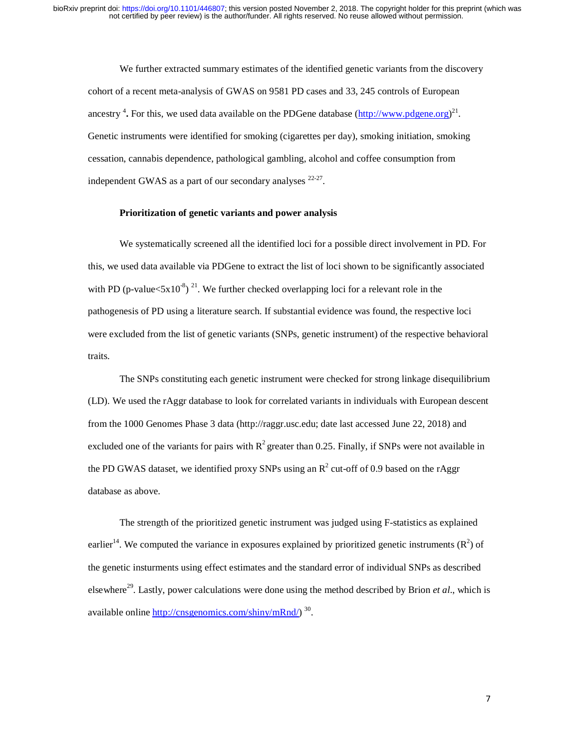We further extracted summary estimates of the identified genetic variants from the discovery cohort of a recent meta-analysis of GWAS on 9581 PD cases and 33, 245 controls of European ancestry <sup>4</sup>. For this, we used data available on the PDGene database (http://www.pdgene.org)<sup>21</sup>. Genetic instruments were identified for smoking (cigarettes per day), smoking initiation, smoking cessation, cannabis dependence, pathological gambling, alcohol and coffee consumption from independent GWAS as a part of our secondary analyses 22-27.

## **Prioritization of genetic variants and power analysis**

We systematically screened all the identified loci for a possible direct involvement in PD. For this, we used data available via PDGene to extract the list of loci shown to be significantly associated with PD (p-value $\langle 5x10^8 \rangle$ <sup>21</sup>. We further checked overlapping loci for a relevant role in the pathogenesis of PD using a literature search. If substantial evidence was found, the respective loci were excluded from the list of genetic variants (SNPs, genetic instrument) of the respective behavioral traits.

The SNPs constituting each genetic instrument were checked for strong linkage disequilibrium (LD). We used the rAggr database to look for correlated variants in individuals with European descent from the 1000 Genomes Phase 3 data (http://raggr.usc.edu; date last accessed June 22, 2018) and excluded one of the variants for pairs with  $R^2$  greater than 0.25. Finally, if SNPs were not available in the PD GWAS dataset, we identified proxy SNPs using an  $R^2$  cut-off of 0.9 based on the rAggr database as above.

The strength of the prioritized genetic instrument was judged using F-statistics as explained earlier<sup>14</sup>. We computed the variance in exposures explained by prioritized genetic instruments  $(R^2)$  of the genetic insturments using effect estimates and the standard error of individual SNPs as described elsewhere29. Lastly, power calculations were done using the method described by Brion *et al*., which is available online http://cnsgenomics.com/shiny/mRnd/)  $^{30}$ .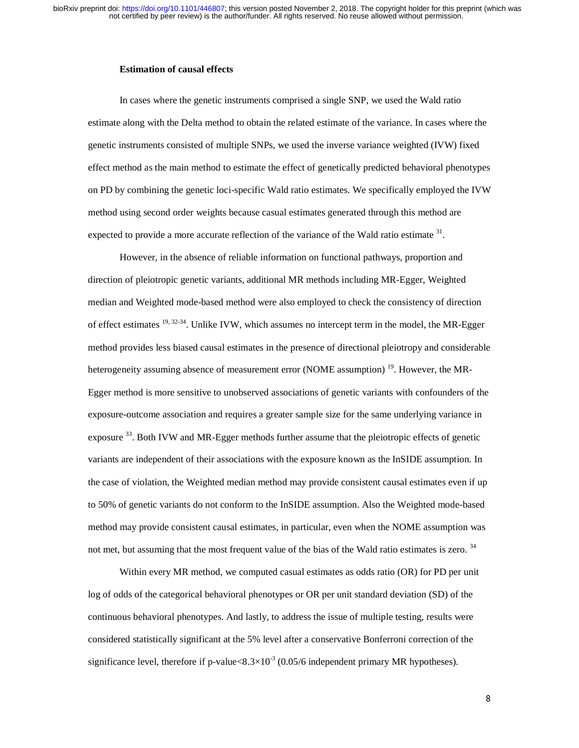#### **Estimation of causal effects**

In cases where the genetic instruments comprised a single SNP, we used the Wald ratio estimate along with the Delta method to obtain the related estimate of the variance. In cases where the genetic instruments consisted of multiple SNPs, we used the inverse variance weighted (IVW) fixed effect method as the main method to estimate the effect of genetically predicted behavioral phenotypes on PD by combining the genetic loci-specific Wald ratio estimates. We specifically employed the IVW method using second order weights because casual estimates generated through this method are expected to provide a more accurate reflection of the variance of the Wald ratio estimate  $31$ .

However, in the absence of reliable information on functional pathways, proportion and direction of pleiotropic genetic variants, additional MR methods including MR-Egger, Weighted median and Weighted mode-based method were also employed to check the consistency of direction of effect estimates  $^{19, 32-34}$ . Unlike IVW, which assumes no intercept term in the model, the MR-Egger method provides less biased causal estimates in the presence of directional pleiotropy and considerable heterogeneity assuming absence of measurement error (NOME assumption)<sup>19</sup>. However, the MR-Egger method is more sensitive to unobserved associations of genetic variants with confounders of the exposure-outcome association and requires a greater sample size for the same underlying variance in exposure <sup>33</sup>. Both IVW and MR-Egger methods further assume that the pleiotropic effects of genetic variants are independent of their associations with the exposure known as the InSIDE assumption. In the case of violation, the Weighted median method may provide consistent causal estimates even if up to 50% of genetic variants do not conform to the InSIDE assumption. Also the Weighted mode-based method may provide consistent causal estimates, in particular, even when the NOME assumption was not met, but assuming that the most frequent value of the bias of the Wald ratio estimates is zero. <sup>34</sup>

Within every MR method, we computed casual estimates as odds ratio (OR) for PD per unit log of odds of the categorical behavioral phenotypes or OR per unit standard deviation (SD) of the continuous behavioral phenotypes. And lastly, to address the issue of multiple testing, results were considered statistically significant at the 5% level after a conservative Bonferroni correction of the significance level, therefore if p-value $< 8.3 \times 10^{-3}$  (0.05/6 independent primary MR hypotheses).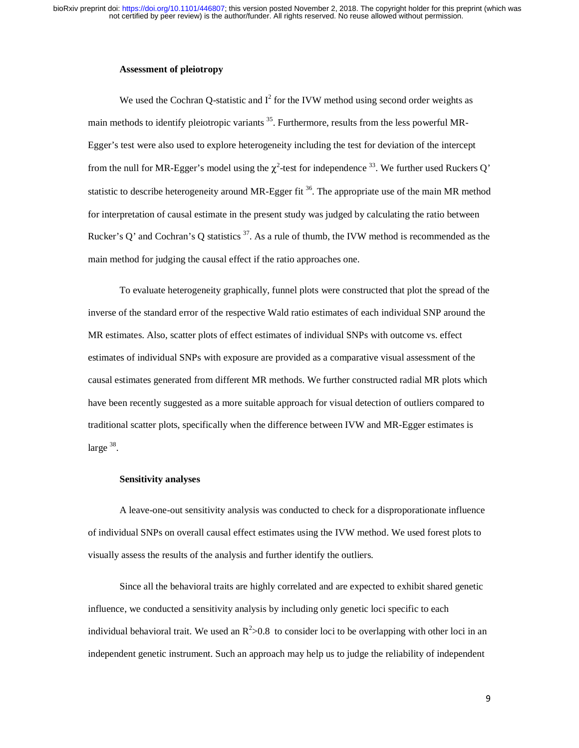#### **Assessment of pleiotropy**

We used the Cochran Q-statistic and  $I^2$  for the IVW method using second order weights as main methods to identify pleiotropic variants<sup>35</sup>. Furthermore, results from the less powerful MR-Egger's test were also used to explore heterogeneity including the test for deviation of the intercept from the null for MR-Egger's model using the  $\chi^2$ -test for independence <sup>33</sup>. We further used Ruckers Q' statistic to describe heterogeneity around MR-Egger fit  $36$ . The appropriate use of the main MR method for interpretation of causal estimate in the present study was judged by calculating the ratio between Rucker's O' and Cochran's Q statistics  $37$ . As a rule of thumb, the IVW method is recommended as the main method for judging the causal effect if the ratio approaches one.

To evaluate heterogeneity graphically, funnel plots were constructed that plot the spread of the inverse of the standard error of the respective Wald ratio estimates of each individual SNP around the MR estimates. Also, scatter plots of effect estimates of individual SNPs with outcome vs. effect estimates of individual SNPs with exposure are provided as a comparative visual assessment of the causal estimates generated from different MR methods. We further constructed radial MR plots which have been recently suggested as a more suitable approach for visual detection of outliers compared to traditional scatter plots, specifically when the difference between IVW and MR-Egger estimates is large  $38$ .

### **Sensitivity analyses**

A leave-one-out sensitivity analysis was conducted to check for a disproporationate influence of individual SNPs on overall causal effect estimates using the IVW method. We used forest plots to visually assess the results of the analysis and further identify the outliers.

Since all the behavioral traits are highly correlated and are expected to exhibit shared genetic influence, we conducted a sensitivity analysis by including only genetic loci specific to each individual behavioral trait. We used an  $R^2 > 0.8$  to consider loci to be overlapping with other loci in an independent genetic instrument. Such an approach may help us to judge the reliability of independent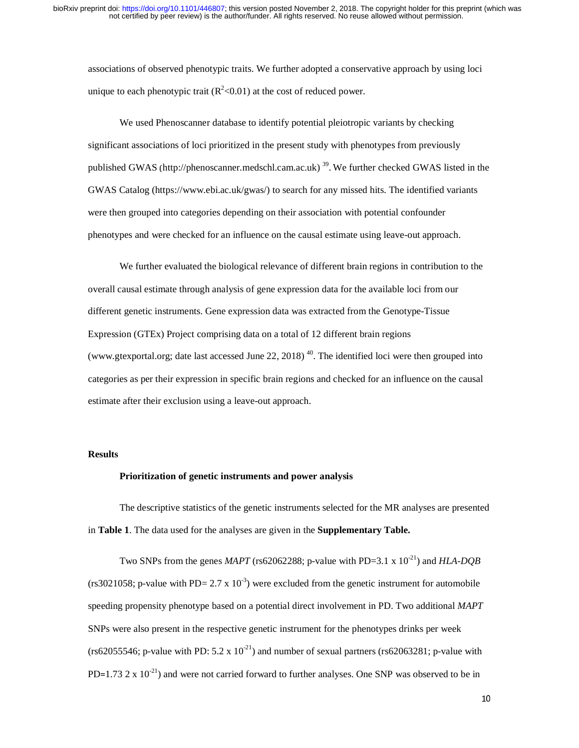associations of observed phenotypic traits. We further adopted a conservative approach by using loci unique to each phenotypic trait ( $R^2$  < 0.01) at the cost of reduced power.

We used Phenoscanner database to identify potential pleiotropic variants by checking significant associations of loci prioritized in the present study with phenotypes from previously published GWAS (http://phenoscanner.medschl.cam.ac.uk) 39. We further checked GWAS listed in the GWAS Catalog (https://www.ebi.ac.uk/gwas/) to search for any missed hits. The identified variants were then grouped into categories depending on their association with potential confounder phenotypes and were checked for an influence on the causal estimate using leave-out approach.

We further evaluated the biological relevance of different brain regions in contribution to the overall causal estimate through analysis of gene expression data for the available loci from our different genetic instruments. Gene expression data was extracted from the Genotype-Tissue Expression (GTEx) Project comprising data on a total of 12 different brain regions (www.gtexportal.org; date last accessed June 22, 2018)  $^{40}$ . The identified loci were then grouped into categories as per their expression in specific brain regions and checked for an influence on the causal estimate after their exclusion using a leave-out approach.

# **Results**

#### **Prioritization of genetic instruments and power analysis**

The descriptive statistics of the genetic instruments selected for the MR analyses are presented in **Table 1**. The data used for the analyses are given in the **Supplementary Table.** 

Two SNPs from the genes *MAPT* (rs62062288; p-value with PD=3.1 x  $10^{-21}$ ) and *HLA-DQB* (rs3021058; p-value with PD= 2.7 x 10<sup>-3</sup>) were excluded from the genetic instrument for automobile speeding propensity phenotype based on a potential direct involvement in PD. Two additional *MAPT* SNPs were also present in the respective genetic instrument for the phenotypes drinks per week (rs62055546; p-value with PD:  $5.2 \times 10^{-21}$ ) and number of sexual partners (rs62063281; p-value with PD=1.73 2 x  $10^{-21}$ ) and were not carried forward to further analyses. One SNP was observed to be in =1.73 2 x 10<sup>-21</sup>) and were not carried forward to further analyses. One SNP was observed to be in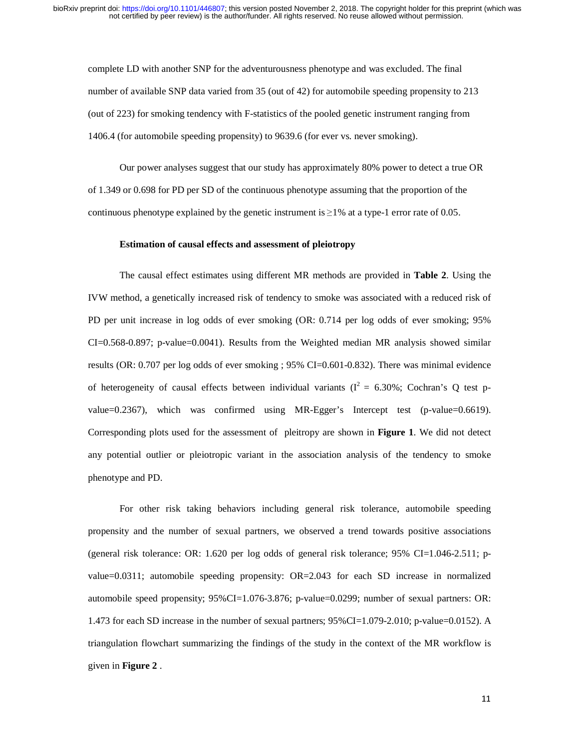complete LD with another SNP for the adventurousness phenotype and was excluded. The final number of available SNP data varied from 35 (out of 42) for automobile speeding propensity to 213 (out of 223) for smoking tendency with F-statistics of the pooled genetic instrument ranging from 1406.4 (for automobile speeding propensity) to 9639.6 (for ever vs. never smoking).

Our power analyses suggest that our study has approximately 80% power to detect a true OR of 1.349 or 0.698 for PD per SD of the continuous phenotype assuming that the proportion of the continuous phenotype explained by the genetic instrument is  $\geq 1\%$  at a type-1 error rate of 0.05.

# **Estimation of causal effects and assessment of pleiotropy**

The causal effect estimates using different MR methods are provided in **Table 2**. Using the IVW method, a genetically increased risk of tendency to smoke was associated with a reduced risk of PD per unit increase in log odds of ever smoking (OR: 0.714 per log odds of ever smoking; 95% CI=0.568-0.897; p-value=0.0041). Results from the Weighted median MR analysis showed similar results (OR: 0.707 per log odds of ever smoking ; 95% CI=0.601-0.832). There was minimal evidence of heterogeneity of causal effects between individual variants ( $I^2 = 6.30\%$ ; Cochran's Q test pvalue=0.2367), which was confirmed using MR-Egger's Intercept test (p-value=0.6619). Corresponding plots used for the assessment of pleitropy are shown in **Figure 1**. We did not detect any potential outlier or pleiotropic variant in the association analysis of the tendency to smoke phenotype and PD.

For other risk taking behaviors including general risk tolerance, automobile speeding propensity and the number of sexual partners, we observed a trend towards positive associations and the number of sexual partners, we observed a trend towards positive associations<br>sk tolerance: OR: 1.620 per log odds of general risk tolerance; 95% CI=1.046-2.511; p-<br>311; automobile speeding propensity: OR=2.043 for (general risk tolerance: OR: 1.620 per log odds of general risk tolerance; 95% CI=1.046-2.511; pvalue=0.0311; automobile speeding propensity: OR=2.043 for each SD increase in normalized automobile speed propensity;  $95\%$ CI=1.076-3.876; p-value=0.0299; number of sexual partners: OR: 1.473 for each SD increase in the number of sexual partners;  $95\%$ CI=1.079-2.010; p-value=0.0152). A triangulation flowchart summarizing the findings of the study in the context of the MR workflow is given in **Figure 2** .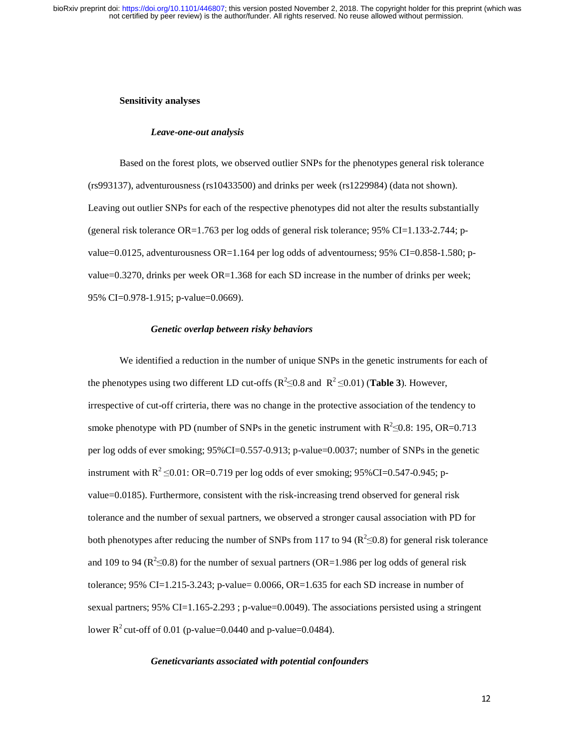#### **Sensitivity analyses**

#### *Leave-one-out analysis*

Based on the forest plots, we observed outlier SNPs for the phenotypes general risk tolerance (rs993137), adventurousness (rs10433500) and drinks per week (rs1229984) (data not shown). Leaving out outlier SNPs for each of the respective phenotypes did not alter the results substantially (general risk tolerance  $OR=1.763$  per log odds of general risk tolerance; 95% CI=1.133-2.744; pvalue=0.0125, adventurousness OR=1.164 per log odds of adventourness; 95% CI=0.858-1.580; pvalue=0.3270, drinks per week OR=1.368 for each SD increase in the number of drinks per week; 95% CI=0.978-1.915; p-value=0.0669).

#### *Genetic overlap between risky behaviors*

We identified a reduction in the number of unique SNPs in the genetic instruments for each of the phenotypes using two different LD cut-offs ( $R^2 \le 0.8$  and  $R^2 \le 0.01$ ) (**Table 3**). However, irrespective of cut-off crirteria, there was no change in the protective association of the tendency to smoke phenotype with PD (number of SNPs in the genetic instrument with  $R^2 \le 0.8$ : 195, OR=0.713 per log odds of ever smoking; 95%CI=0.557-0.913; p-value=0.0037; number of SNPs in the genetic instrument with  $R^2 \le 0.01$ : OR=0.719 per log odds of ever smoking; 95%CI=0.547-0.945; pvalue=0.0185). Furthermore, consistent with the risk-increasing trend observed for general risk tolerance and the number of sexual partners, we observed a stronger causal association with PD for both phenotypes after reducing the number of SNPs from 117 to 94 ( $\mathbb{R}^2 \le 0.8$ ) for general risk tolerance and 109 to 94 ( $\mathbb{R}^2 \le 0.8$ ) for the number of sexual partners (OR=1.986 per log odds of general risk tolerance; 95% CI=1.215-3.243; p-value=  $0.0066$ , OR=1.635 for each SD increase in number of sexual partners; 95% CI=1.165-2.293 ; p-value=0.0049). The associations persisted using a stringent lower  $R^2$  cut-off of 0.01 (p-value=0.0440 and p-value=0.0484).

#### *Geneticvariants associated with potential confounders*

 $12<sup>°</sup>$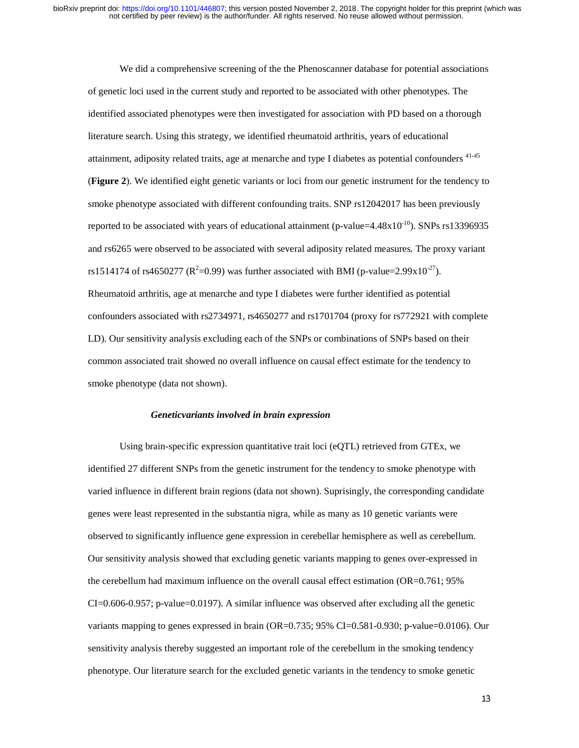We did a comprehensive screening of the the Phenoscanner database for potential associations of genetic loci used in the current study and reported to be associated with other phenotypes. The identified associated phenotypes were then investigated for association with PD based on a thorough literature search. Using this strategy, we identified rheumatoid arthritis, years of educational attainment, adiposity related traits, age at menarche and type I diabetes as potential confounders <sup>41-45</sup> (**Figure 2**). We identified eight genetic variants or loci from our genetic instrument for the tendency to smoke phenotype associated with different confounding traits. SNP rs12042017 has been previously reported to be associated with years of educational attainment (p-value=4.48x $10^{-10}$ ). SNPs rs13396935 and rs6265 were observed to be associated with several adiposity related measures. The proxy variant rs1514174 of rs4650277 ( $R^2$ =0.99) was further associated with BMI (p-value=2.99x10<sup>-27</sup>). Rheumatoid arthritis, age at menarche and type I diabetes were further identified as potential confounders associated with rs2734971, rs4650277 and rs1701704 (proxy for rs772921 with complete LD). Our sensitivity analysis excluding each of the SNPs or combinations of SNPs based on their common associated trait showed no overall influence on causal effect estimate for the tendency to smoke phenotype (data not shown).

#### *Geneticvariants involved in brain expression*

Using brain-specific expression quantitative trait loci (eQTL) retrieved from GTEx, we identified 27 different SNPs from the genetic instrument for the tendency to smoke phenotype with varied influence in different brain regions (data not shown). Suprisingly, the corresponding candidate genes were least represented in the substantia nigra, while as many as 10 genetic variants were observed to significantly influence gene expression in cerebellar hemisphere as well as cerebellum. Our sensitivity analysis showed that excluding genetic variants mapping to genes over-expressed in the cerebellum had maximum influence on the overall causal effect estimation (OR=0.761; 95% CI=0.606-0.957; p-value=0.0197). A similar influence was observed after excluding all the genetic variants mapping to genes expressed in brain (OR=0.735; 95% CI=0.581-0.930; p-value=0.0106). Our sensitivity analysis thereby suggested an important role of the cerebellum in the smoking tendency phenotype. Our literature search for the excluded genetic variants in the tendency to smoke genetic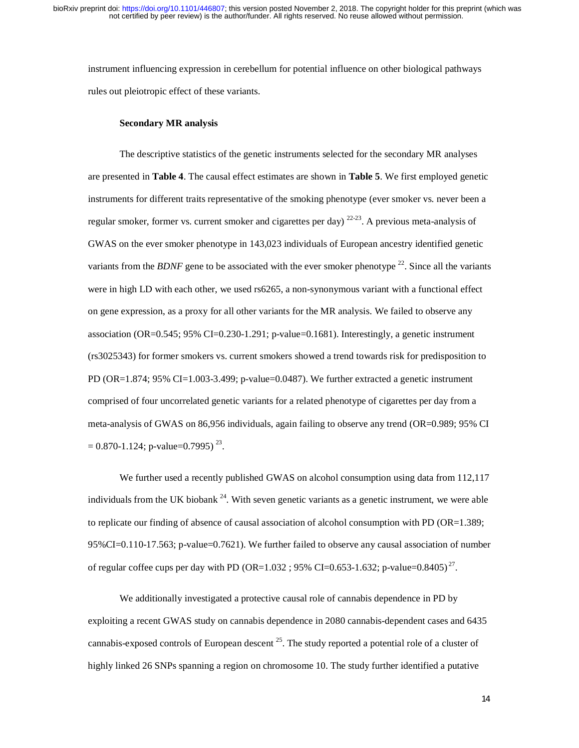instrument influencing expression in cerebellum for potential influence on other biological pathways rules out pleiotropic effect of these variants.

# **Secondary MR analysis**

The descriptive statistics of the genetic instruments selected for the secondary MR analyses are presented in **Table 4**. The causal effect estimates are shown in **Table 5**. We first employed genetic instruments for different traits representative of the smoking phenotype (ever smoker vs. never been a regular smoker, former vs. current smoker and cigarettes per day)  $^{22-23}$ . A previous meta-analysis of GWAS on the ever smoker phenotype in 143,023 individuals of European ancestry identified genetic variants from the *BDNF* gene to be associated with the ever smoker phenotype<sup>22</sup>. Since all the variants were in high LD with each other, we used rs6265, a non-synonymous variant with a functional effect on gene expression, as a proxy for all other variants for the MR analysis. We failed to observe any association (OR=0.545; 95% CI=0.230-1.291; p-value=0.1681). Interestingly, a genetic instrument (rs3025343) for former smokers vs. current smokers showed a trend towards risk for predisposition to PD (OR=1.874;  $95\%$  CI=1.003-3.499; p-value=0.0487). We further extracted a genetic instrument comprised of four uncorrelated genetic variants for a related phenotype of cigarettes per day from a meta-analysis of GWAS on 86,956 individuals, again failing to observe any trend (OR=0.989; 95% CI  $= 0.870 - 1.124$ ; p-value=0.7995)<sup>23</sup>.

We further used a recently published GWAS on alcohol consumption using data from 112,117 individuals from the UK biobank  $^{24}$ . With seven genetic variants as a genetic instrument, we were able to replicate our finding of absence of causal association of alcohol consumption with PD (OR=1.389; 95%CI=0.110-17.563; p-value=0.7621). We further failed to observe any causal association of number of regular coffee cups per day with PD (OR=1.032; 95% CI=0.653-1.632; p-value=0.8405)<sup>27</sup>.

We additionally investigated a protective causal role of cannabis dependence in PD by exploiting a recent GWAS study on cannabis dependence in 2080 cannabis-dependent cases and 6435 cannabis-exposed controls of European descent  $^{25}$ . The study reported a potential role of a cluster of highly linked 26 SNPs spanning a region on chromosome 10. The study further identified a putative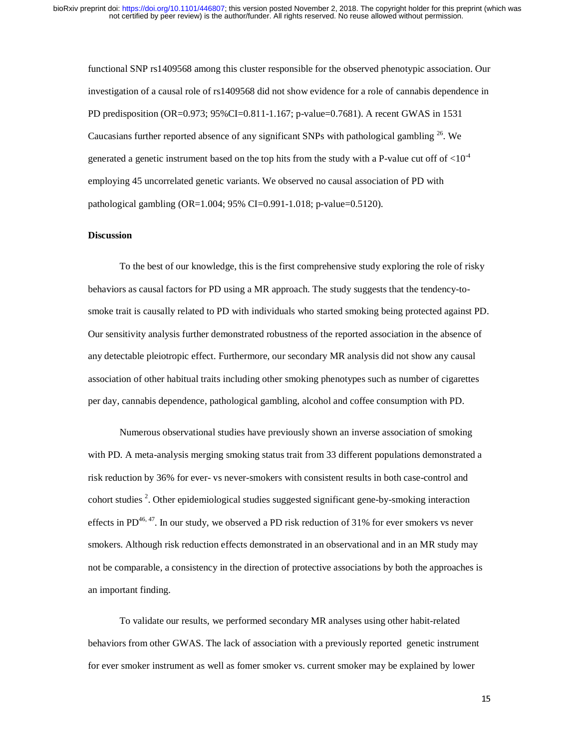functional SNP rs1409568 among this cluster responsible for the observed phenotypic association. Our investigation of a causal role of rs1409568 did not show evidence for a role of cannabis dependence in PD predisposition (OR=0.973; 95%CI=0.811-1.167; p-value=0.7681). A recent GWAS in 1531 Caucasians further reported absence of any significant SNPs with pathological gambling  $^{26}$ . We generated a genetic instrument based on the top hits from the study with a P-value cut off of  $<$ 10<sup>-4</sup> employing 45 uncorrelated genetic variants. We observed no causal association of PD with pathological gambling (OR=1.004; 95% CI=0.991-1.018; p-value=0.5120).

#### **Discussion**

To the best of our knowledge, this is the first comprehensive study exploring the role of risky behaviors as causal factors for PD using a MR approach. The study suggests that the tendency-tosmoke trait is causally related to PD with individuals who started smoking being protected against PD. Our sensitivity analysis further demonstrated robustness of the reported association in the absence of any detectable pleiotropic effect. Furthermore, our secondary MR analysis did not show any causal association of other habitual traits including other smoking phenotypes such as number of cigarettes per day, cannabis dependence, pathological gambling, alcohol and coffee consumption with PD.

Numerous observational studies have previously shown an inverse association of smoking with PD. A meta-analysis merging smoking status trait from 33 different populations demonstrated a risk reduction by 36% for ever- vs never-smokers with consistent results in both case-control and cohort studies<sup>2</sup>. Other epidemiological studies suggested significant gene-by-smoking interaction effects in PD<sup>46, 47</sup>. In our study, we observed a PD risk reduction of  $31\%$  for ever smokers vs never smokers. Although risk reduction effects demonstrated in an observational and in an MR study may not be comparable, a consistency in the direction of protective associations by both the approaches is an important finding.

To validate our results, we performed secondary MR analyses using other habit-related behaviors from other GWAS. The lack of association with a previously reported genetic instrument for ever smoker instrument as well as fomer smoker vs. current smoker may be explained by lower

15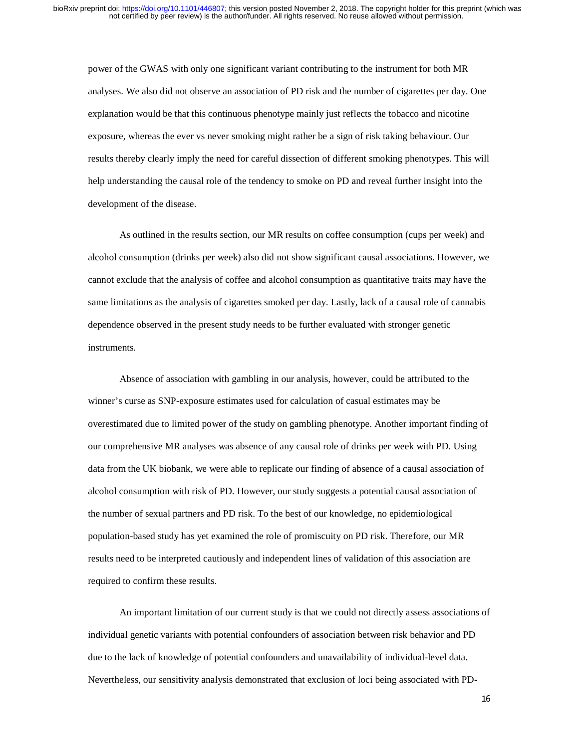power of the GWAS with only one significant variant contributing to the instrument for both MR analyses. We also did not observe an association of PD risk and the number of cigarettes per day. One explanation would be that this continuous phenotype mainly just reflects the tobacco and nicotine exposure, whereas the ever vs never smoking might rather be a sign of risk taking behaviour. Our results thereby clearly imply the need for careful dissection of different smoking phenotypes. This will help understanding the causal role of the tendency to smoke on PD and reveal further insight into the development of the disease.

As outlined in the results section, our MR results on coffee consumption (cups per week) and alcohol consumption (drinks per week) also did not show significant causal associations. However, we cannot exclude that the analysis of coffee and alcohol consumption as quantitative traits may have the same limitations as the analysis of cigarettes smoked per day. Lastly, lack of a causal role of cannabis dependence observed in the present study needs to be further evaluated with stronger genetic instruments.

Absence of association with gambling in our analysis, however, could be attributed to the winner's curse as SNP-exposure estimates used for calculation of casual estimates may be overestimated due to limited power of the study on gambling phenotype. Another important finding of our comprehensive MR analyses was absence of any causal role of drinks per week with PD. Using data from the UK biobank, we were able to replicate our finding of absence of a causal association of alcohol consumption with risk of PD. However, our study suggests a potential causal association of the number of sexual partners and PD risk. To the best of our knowledge, no epidemiological population-based study has yet examined the role of promiscuity on PD risk. Therefore, our MR results need to be interpreted cautiously and independent lines of validation of this association are required to confirm these results.

An important limitation of our current study is that we could not directly assess associations of individual genetic variants with potential confounders of association between risk behavior and PD due to the lack of knowledge of potential confounders and unavailability of individual-level data. Nevertheless, our sensitivity analysis demonstrated that exclusion of loci being associated with PD-

16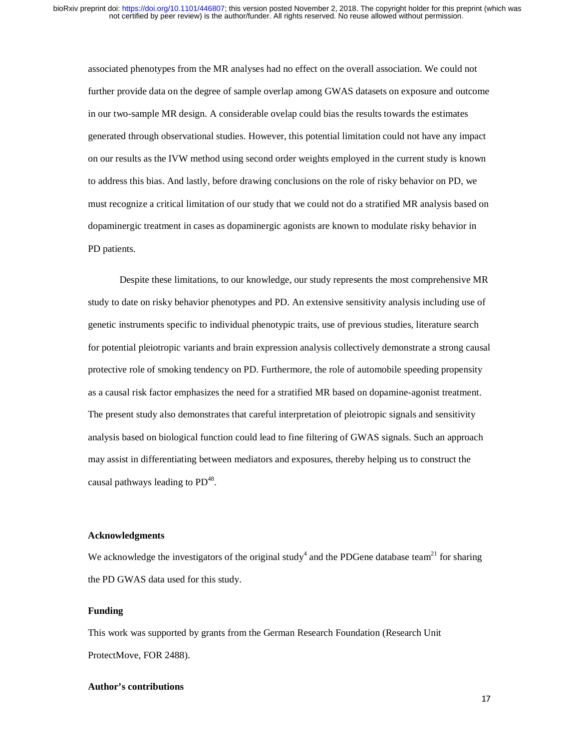associated phenotypes from the MR analyses had no effect on the overall association. We could not further provide data on the degree of sample overlap among GWAS datasets on exposure and outcome in our two-sample MR design. A considerable ovelap could bias the results towards the estimates generated through observational studies. However, this potential limitation could not have any impact on our results as the IVW method using second order weights employed in the current study is known to address this bias. And lastly, before drawing conclusions on the role of risky behavior on PD, we must recognize a critical limitation of our study that we could not do a stratified MR analysis based on dopaminergic treatment in cases as dopaminergic agonists are known to modulate risky behavior in PD patients.

Despite these limitations, to our knowledge, our study represents the most comprehensive MR study to date on risky behavior phenotypes and PD. An extensive sensitivity analysis including use of genetic instruments specific to individual phenotypic traits, use of previous studies, literature search for potential pleiotropic variants and brain expression analysis collectively demonstrate a strong causal protective role of smoking tendency on PD. Furthermore, the role of automobile speeding propensity as a causal risk factor emphasizes the need for a stratified MR based on dopamine-agonist treatment. The present study also demonstrates that careful interpretation of pleiotropic signals and sensitivity analysis based on biological function could lead to fine filtering of GWAS signals. Such an approach may assist in differentiating between mediators and exposures, thereby helping us to construct the causal pathways leading to  $PD^{48}$ .

# **Acknowledgments**

 $\frac{1}{2}$ We acknowledge the investigators of the original study<sup>4</sup> and the PDGene database team<sup>21</sup> for sharing the PD GWAS data used for this study.

#### **Funding**

 $\frac{1}{3}$ This work was supported by grants from the German Research Foundation (Research Unit ProtectMove, FOR 2488).

# **Author's contributions**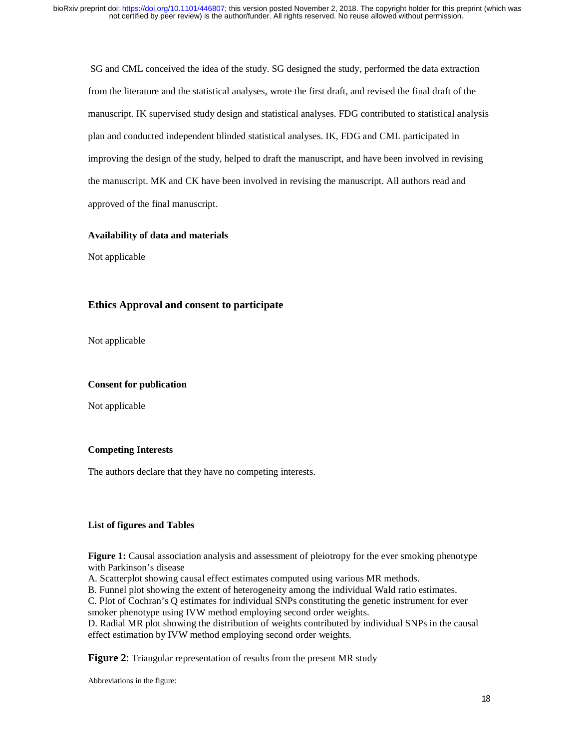SG and CML conceived the idea of the study. SG designed the study, performed the data extraction from the literature and the statistical analyses, wrote the first draft, and revised the final draft of the manuscript. IK supervised study design and statistical analyses. FDG contributed to statistical analysis plan and conducted independent blinded statistical analyses. IK, FDG and CML participated in improving the design of the study, helped to draft the manuscript, and have been involved in revising the manuscript. MK and CK have been involved in revising the manuscript. All authors read and approved of the final manuscript.

# **Availability of data and materials**

Not applicable

# **Ethics Approval and consent to participate**

Not applicable

# $\overline{\phantom{a}}$ **Consent for publication**

Not applicable

# $\frac{1}{3}$ (<br>|<br>| **Competing Interests**

 $\frac{1}{2}$ The authors declare that they have no competing interests.

# $\ddot{\mathbf{a}}$ **List of figures and Tables**

 $\frac{1}{2}$  $\begin{array}{c} \mathbf{y} \\ \mathbf{y} \\ \mathbf{y} \end{array}$ **Figure 1:** Causal association analysis and assessment of pleiotropy for the ever smoking phenotype with Parkinson's disease

A. Scatterplot showing causal effect estimates computed using various MR methods.

B. Funnel plot showing the extent of heterogeneity among the individual Wald ratio estimates.

C. Plot of Cochran's Q estimates for individual SNPs constituting the genetic instrument for ever smoker phenotype using IVW method employing second order weights.

D. Radial MR plot showing the distribution of weights contributed by individual SNPs in the causal effect estimation by IVW method employing second order weights.

**Figure 2**: Triangular representation of results from the present MR study

Abbreviations in the figure: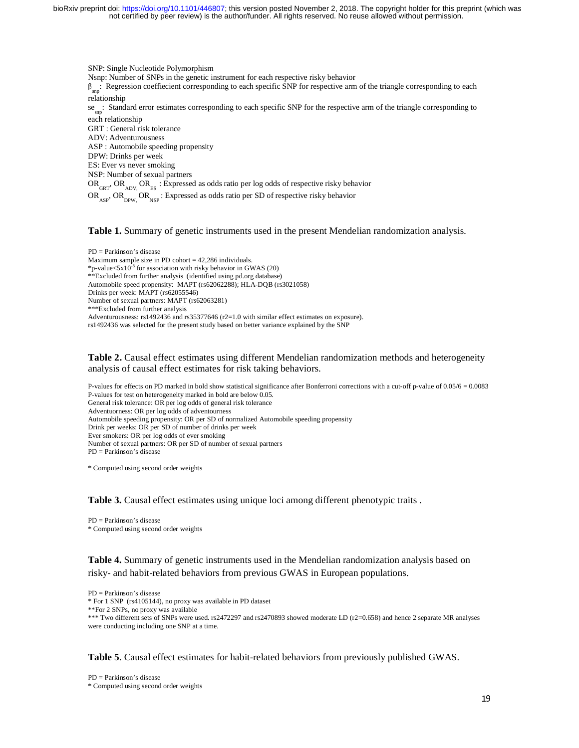SNP: Single Nucleotide Polymorphism Nsnp: Number of SNPs in the genetic instrument for each respective risky behavior  $\beta_{\rm sm}$ : Regression coeffiecient corresponding to each specific SNP for respective arm of the triangle corresponding to each relationship se<sub>sn</sub>: Standard error estimates corresponding to each specific SNP for the respective arm of the triangle corresponding to each relationship GRT : General risk tolerance ADV: Adventurousness ASP : Automobile speeding propensity DPW: Drinks per week ES: Ever vs never smoking NSP: Number of sexual partners  $OR_{GRT}$ ,  $OR_{ADV}$ ,  $OR_{ES}$  : Expressed as odds ratio per log odds of respective risky behavior OR<sub>ASP</sub>, OR<sub>NSP</sub>: Expressed as odds ratio per SD of respective risky behavior

**Table 1.** Summary of genetic instruments used in the present Mendelian randomization analysis.

PD = Parkinson's disease Maximum sample size in PD cohort  $= 42,286$  individuals. \*p-value<5x10<sup>-8</sup> for association with risky behavior in GWAS (20) \*\*Excluded from further analysis (identified using pd.org database) Automobile speed propensity: MAPT (rs62062288); HLA-DQB (rs3021058) Drinks per week: MAPT (rs62055546) Number of sexual partners: MAPT (rs62063281) \*\*\*Excluded from further analysis Adventurousness: rs1492436 and rs35377646 (r2=1.0 with similar effect estimates on exposure). rs1492436 was selected for the present study based on better variance explained by the SNP

**Table 2.** Causal effect estimates using different Mendelian randomization methods and heterogeneity analysis of causal effect estimates for risk taking behaviors.

P-values for effects on PD marked in bold show statistical significance after Bonferroni corrections with a cut-off p-value of 0.05/6 = 0.0083 P-values for test on heterogeneity marked in bold are below 0.05. General risk tolerance: OR per log odds of general risk tolerance Adventuorness: OR per log odds of adventourness Automobile speeding propensity: OR per SD of normalized Automobile speeding propensity Drink per weeks: OR per SD of number of drinks per week Ever smokers: OR per log odds of ever smoking Number of sexual partners: OR per SD of number of sexual partners  $PD =$  Parkinson's disease

\* Computed using second order weights

**Table 3.** Causal effect estimates using unique loci among different phenotypic traits .

PD = Parkinson's disease \* Computed using second order weights

**Table 4.** Summary of genetic instruments used in the Mendelian randomization analysis based on risky- and habit-related behaviors from previous GWAS in European populations.

PD = Parkinson's disease \* For 1 SNP (rs4105144), no proxy was available in PD dataset \*\*For 2 SNPs, no proxy was available \*\*\* Two different sets of SNPs were used. rs2472297 and rs2470893 showed moderate LD (r2=0.658) and hence 2 separate MR analyses were conducting including one SNP at a time.

**Table 5**. Causal effect estimates for habit-related behaviors from previously published GWAS.

PD = Parkinson's disease \* Computed using second order weights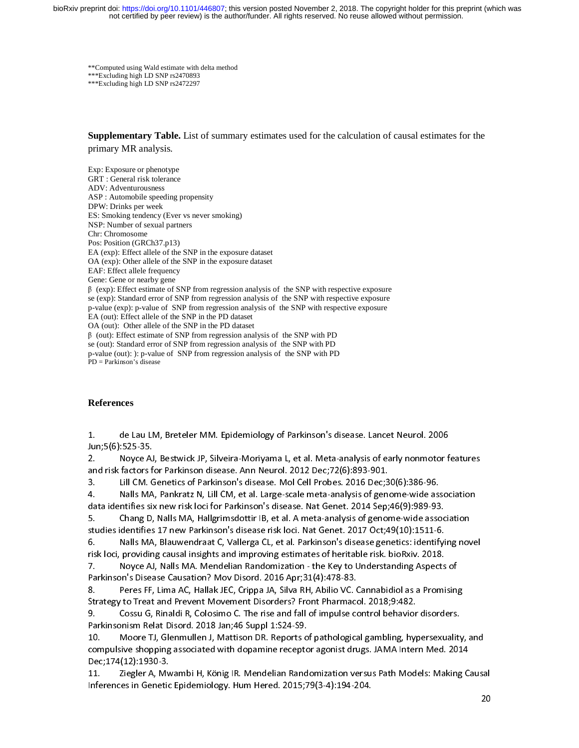\*\*Computed using Wald estimate with delta method \*\*\*Excluding high LD SNP rs2470893 \*\*\*Excluding high LD SNP rs2472297

**Supplementary Table.** List of summary estimates used for the calculation of causal estimates for the primary MR analysis.

Exp: Exposure or phenotype GRT : General risk tolerance ADV: Adventurousness ASP : Automobile speeding propensity DPW: Drinks per week ES: Smoking tendency (Ever vs never smoking) NSP: Number of sexual partners Chr: Chromosome Pos: Position (GRCh37.p13) EA (exp): Effect allele of the SNP in the exposure dataset OA (exp): Other allele of the SNP in the exposure dataset EAF: Effect allele frequency Gene: Gene or nearby gene <sup>β</sup> (exp): Effect estimate of SNP from regression analysis of the SNP with respective exposure se (exp): Standard error of SNP from regression analysis of the SNP with respective exposure p-value (exp): p-value of SNP from regression analysis of the SNP with respective exposure EA (out): Effect allele of the SNP in the PD dataset OA (out): Other allele of the SNP in the PD dataset <sup>β</sup> (out): Effect estimate of SNP from regression analysis of the SNP with PD se (out): Standard error of SNP from regression analysis of the SNP with PD p-value (out): ): p-value of SNP from regression analysis of the SNP with PD PD = Parkinson's disease

# **References**

1. de Lau LM, Breteler MM. Epidemiology of Parkinson's disease. Lancet Neurol. 2006<br>Jun;5(6):525-35.<br>2. Noyce AJ, Bestwick JP, Silveira-Moriyama L, et al. Meta-analysis of early nonmotor f<br>and risk factors for Parkinson di Example proceed<br>2. Noyce AJ<br>and risk factors fi<br>3. Lill CM. C<br>4. Nalls MA<br>data identifies six<br>5. Chang D,<br>studies identifies<br>6. Nalls MA 2. It CM, Bestwick Jost Ann Neurol. 2012 Dec; 72(6):893-901.<br>2. It CM. Genetics of Parkinson's disease. Mol Cell Probes. 2016 Dec;30(6):386-96.<br>2. It CM. Genetics of Parkinson's disease. Mol Cell Probes. 2016 Dec;30(6):386 and Fill CM. Genetics of Parkinson's disease. Mol Cell Probes. 2016 Dec;3<br>
4. Nalls MA, Pankratz N, Lill CM, et al. Large-scale meta-analysis of genot<br>
data identifies six new risk loci for Parkinson's disease. Nat Genet. 3. Lill CM. Genetics of Parkinson's disease. Mol Cell Probes. 2016 Dec;30(6):386-96.<br>4. Nalls MA, Pankratz N, Lill CM, et al. Large-scale meta-analysis of genome-wide ass<br>data identifies six new risk loci for Parkinson's d

data identifies six new risk loci for Parkinson's disease. Nat Genet. 2014 Sep;46(9):989-93.<br>5. Chang D, Nalls MA, Hallgrimsdottir IB, et al. A meta-analysis of genome-wide association<br>studies identifies 17 new Parkinson's data identifies six new risk loci for Parkinson's disease. Nat Genet. 2014 Sep;46(9):989-93.<br>5. Chang D, Nalls MA, Hallgrimsdottir IB, et al. A meta-analysis of genome-wide assoc<br>studies identifies 17 new Parkinson's disea 5. Studies identifies 17 new Parkinson's disease risk loci. Nat Genet. 2017 Oct;49(10):1511-6.<br>
6. Nalls MA, Blauwendraat C, Vallerga CL, et al. Parkinson's disease genetics: identifying nov<br>
1988 Fisk loci, providing caus studies identifies 17 new Parkinson's disease risk loci. Nat Genet. 2017 Oct;49(10):1511-6.<br>6. Nalls MA, Blauwendraat C, Vallerga CL, et al. Parkinson's disease genetics: identifyi<br>risk loci, providing causal insigh

risk locid, Nalls MA. Mendelian Randomization - the Key to Understanding Aspects<br>Parkinson's Disease Causation? Mov Disord. 2016 Apr;31(4):478-83.<br>8. Peres FF, Lima AC, Hallak JEC, Crippa JA, Silva RH, Abilio VC. Cannabidi

6. Nalls MA, Blauwendraat C, Vallerga CL, et al. Parkinson's disease genetics: identifying novel<br>risk loci, providing causal insights and improving estimates of heritable risk. bioRxiv. 2018.<br>7. Noyce AJ, Nalls MA. Mendeli

Parkinson's Disease Causation? Mov Disord. 2016 Apr;31(4):478-83.<br>8. Peres FF, Lima AC, Hallak JEC, Crippa JA, Silva RH, Abilio VC. Cannabidiol as a Promising<br>Strategy to Treat and Prevent Movement Disorders? Front Pharmac Parkinson's Disease Causation? Mov Disord. 2016 Apr;31(4):478-83.<br>8. Peres FF, Lima AC, Hallak JEC, Crippa JA, Silva RH, Abilio VC. (<br>Strategy to Treat and Prevent Movement Disorders? Front Pharmacc<br>9. Coss Strategy to Treat and Prevent Movement Disorders? Front Pharmacol. 2018;9:482.<br>9. Cossu G, Rinaldi R, Colosimo C. The rise and fall of impulse control behavior disorders.<br>Parkinsonism Relat Disord. 2018 Jan;46 Suppl 1:S24-Strategy Cossu G, Rinaldi R, Colosimo C. The rise and fall of impulse control behavior<br>Parkinsonism Relat Disord. 2018 Jan;46 Suppl 1:S24-S9.<br>10. Moore TJ, Glenmullen J, Mattison DR. Reports of pathological gambling, hypom Parkinsonism Relat Disord. 2018 Jan;46 Suppl 1:S24-S9.<br>10. Moore TJ, Glenmullen J, Mattison DR. Reports of pathological gambling, hypersexuality<br>compulsive shopping associated with dopamine receptor agonist drugs. JAMA Int Parkinson Parkinsonian Disorder Theorem II (Slemmullen J, Mattison DR. Reports of compulsive shopping associated with dopamine recepto Dec; 174 (12): 1930-3.<br>11. Ziegler A, Mwambi H, König IR. Mendelian Rand Inferences in 10. Compulsive shopping associated with dopamine receptor agonist drugs. JAMA Intern Med. 2014<br>Dec;174(12):1930-3.<br>11. Ziegler A, Mwambi H, König IR. Mendelian Randomization versus Path Models: Making Causa<br>Inferences in G

Dec;174(12):1930-3.<br>11. Ziegler A, Mwambi H, König IR. Mendelian Randomization versus Path Models: Making C.<br>Inferences in Genetic Epidemiology. Hum Hered. 2015;79(3-4):194-204.<br>Therences in Genetic Epidemiology. Hum Hered 11. Ziegler A, Mw<br>11. Ziegler A, Mw<br>Inferences in Genetic Inferences in Genetic Epidemiology. Hum Hered. 2015;79(3-4):194-204.<br>20<br>
20 Inferences in Genetic Epidemiology. Hum Hered. 2015;79(3-4):194-204.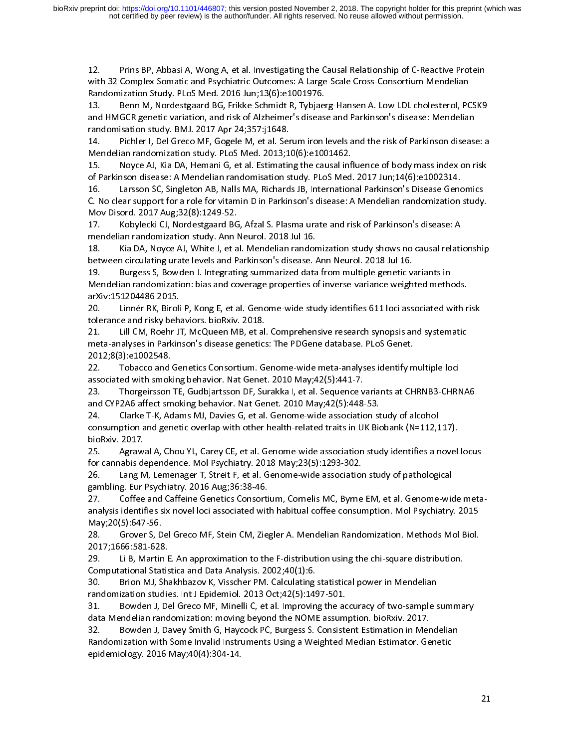12. Principles Somatic and Psychiatric Outcomes: A Large-Scale Cross-Consortium Mendelian<br>
12. Benn M, Nordestgaard BG, Frikke-Schmidt R, Tybjaerg-Hansen A. Low LDL cholesterol, PCSK9<br>
13. Benn M, Nordestgaard BG, Frikke-S Randomization Study. PLoS Med. 2016 Jun;13(6):e1001976.<br>13. Benn M, Nordestgaard BG, Frikke-Schmidt R, Tybjaerg-Hansen A. Low LDL cholesterol, PC<br>and HMGCR genetic variation, and risk of Alzheimer's disease and Parkinson's 13. Benn M, Nordestgaard BG, Frikke-Schmidt R, Tybjaer<br>and HMGCR genetic variation, and risk of Alzheimer's diseas<br>randomisation study. BMJ. 2017 Apr 24;357:j1648.<br>14. Pichler I, Del Greco MF, Gogele M, et al. Serum iron I and HMGCR genetic variation, and risk of Alzheimer's disease and Parkinson's disease: Mendelian<br>randomisation study. BMJ. 2017 Apr 24;357:j1648.<br>14. Pichler I, Del Greco MF, Gogele M, et al. Serum iron levels and the risk

and HMGCR genetic variation, and risk of Alzheimer's disease and Parkinson's disease: Mendelian<br>randomisation study. BMJ. 2017 Apr 24;357:j1648.<br>14. Pichler I, Del Greco MF, Gogele M, et al. Serum iron levels and randomization study. Pichler I, Del Greco MF, Gogele M, et al. Ser<br>Mendelian randomization study. PLoS Med. 2013;1<br>15. Noyce AJ, Kia DA, Hemani G, et al. Estimatir<br>of Parkinson disease: A Mendelian randomisation s<br>16. Lars Mendelian randomization study. PLoS Med. 2013;10(6):e1001462.<br>15. Noyce AJ, Kia DA, Hemani G, et al. Estimating the causal influence of body mass index on risk<br>of Parkinson disease: A Mendelian randomisation study. PLoS Me Mendelian Royce AJ, Kia DA, Hemani G, et al. Estimating the causal inf<br>of Parkinson disease: A Mendelian randomisation study. PLoS Med.<br>16. Larsson SC, Singleton AB, Nalls MA, Richards JB, Internation<br>C. No clear support f 16. Interpretation disease: A Mendelian randomisation study. PLoS Med. 2017 Jun;14(6):e1002314.<br>16. Interson SC, Singleton AB, Nalls MA, Richards JB, International Parkinson's Disease Genomics<br>2. No clear support for a rol Consumer Consumer Consumer Consumer Consumers Consumer C. No clear support for a role for vitamin D in Parkinson's disease: A Mendelian randomization<br>
Mov Disord. 2017 Aug;32(8):1249-52.<br>
17. Kobylecki CJ, Nordestgaard BG, 16. Larsson SC, Singleton AB, Nalls MA, Richards JB, International Parkinson's Disease Genomics<br>C. No clear support for a role for vitamin D in Parkinson's disease: A Mendelian randomization study<br>Mov Disord. 2017 Aug;32(8

C. No clear support for a role for vitamin D in Parkinson's disease: A Mendelian randomization study. 17. Kobylecki CJ, Nordestgaard BG<br>
17. Kobylecki CJ, Nordestgaard BG<br>
mendelian randomization study. Ann I<br>
18. Kia DA, Noyce AJ, White J, et a<br>
between circulating urate levels and P<br>
19. Burgess S, Bowden J. Integratii<br> 17. Kobylecki CJ, Nordestgaard BG, Afzal S. Plasma urate and risk of Parkinson's disease: A<br>mendelian randomization study. Ann Neurol. 2018 Jul 16.<br>18. Kia DA, Noyce AJ, White J, et al. Mendelian randomization study shows mendelian randomization study. The studies and Parkinson's disease. *I*<br>18. In Kia DA, Noyce AJ, White J, et al. Mendelian random<br>between circulating urate levels and Parkinson's disease. *I*<br>19. In Burgess S, Bowden J. In 18. Between circulating urate levels and Parkinson's disease. Ann Neurol. 2018 Jul 16.<br>19. Burgess S, Bowden J. Integrating summarized data from multiple genetic variants in<br>Mendelian randomization: bias and coverage prope between circulating urate levels and Parkinson's disease. Ann Neurol. 2018 Jul 16.<br>19. Burgess S, Bowden J. Integrating summarized data from multiple genetic v.<br>Mendelian randomization: bias and coverage properties o

Mendelian randomization: bias and coverage properties of inverse-variance weighted methodorum<br>ArXiv:151204486 2015.<br>20. Linnér RK, Biroli P, Kong E, et al. Genome-wide study identifies 611 loci associated w<br>tolerance and r arXiv:151204486 2015.<br>20. Linnér RK, Biroli P, Kong E, et al. Genome-wide study identifies 611 loci associated with r<br>tolerance and risky behaviors. bioRxiv. 2018.<br>21. Lill CM, Roehr JT, McQueen MB, et al. Comprehensive re 20. Linnér RK, Biroli<br>tolerance and risky beh.<br>21. Lill CM, Roehr J<br>meta-analyses in Parkin<br>2012;8(3):e1002548.<br>22. Tobacco and Ge<br>associated with smoking<br>23. Thorgeirsson TE 20. Linnér Renamies Many Collection and Clerance and risky behaviors. bioRxiv. 2018.<br>21. Lill CM, Roehr JT, McQueen MB, et al. Comprehensive research synopsis and systematic<br>2012;8(3):e1002548.<br>2012;8(3):e1002548.<br>22. Toba 21. Lill CM, Roehr JT, McQueen MB, et al<br>meta-analyses in Parkinson's disease genetics<br>2012;8(3):e1002548.<br>22. Tobacco and Genetics Consortium. G<br>associated with smoking behavior. Nat Genet<br>23. Thorgeirsson TE, Gudbjartsso meta-analyses in Parkinson's disease genetics: The PDGene database. PLoS Genet.<br>2012;8(3):e1002548.<br>22. Tobacco and Genetics Consortium. Genome-wide meta-analyses identify multiple loci<br>associated with smoking beha

meta-analyses in Parkinson's disease genetics: The PDGene database. PLoS Genet.<br>2012;8(3):e1002548.<br>22. Tobacco and Genetics Consortium. Genome-wide meta-analyses identify m<br>associated with smoking behavior. Nat Ge 22. Tobacco and associated with smok<br>associated with smok<br>23. Thorgeirsson<br>and CYP2A6 affect sm<br>24. Clarke T-K, Ac<br>consumption and gen<br>bioRxiv. 2017.<br>25. Agrawal A, Ch associated with smoking behavior. Nat Genet. 2010 May;42(5):441-7.<br>23. Thorgeirsson TE, Gudbjartsson DF, Surakka I, et al. Sequence variants at CHRNB3-CHRN<br>and CYP2A6 affect smoking behavior. Nat Genet. 2010 May;42(5 23. Thorgeirsson TE, Gudbjartsson DF, Surakka I, et al. Sequence v<br>and CYP2A6 affect smoking behavior. Nat Genet. 2010 May;42(5):448-<br>24. Clarke T-K, Adams MJ, Davies G, et al. Genome-wide associatic<br>consumption and geneti and CYP2A6 affect smoking behavior. Nat Genet. 2010 May;42(5):448-53.<br>24. Clarke T-K, Adams MJ, Davies G, et al. Genome-wide association study of alcohol<br>consumption and genetic overlap with other health-related traits in 24. Clarke T-K, Adams MJ, Davies G, et al. Genome-wide association st<br>consumption and genetic overlap with other health-related traits in UK Bio<br>bioRxiv. 2017.<br>25. Agrawal A, Chou YL, Carey CE, et al. Genome-wide associati 24. Consumption and genetic overlap with other health-related traits in UK Biobank (N=112,1<br>25. Agrawal A, Chou YL, Carey CE, et al. Genome-wide association study identifies a n<br>25. Agrawal A, Chou YL, Carey CE, et al. Gen

bioRxiv. 2017.<br>25. Agrawal A, Chou YL, Carey CE, et al. Genome-wide association study identifies a novel<br>for cannabis dependence. Mol Psychiatry. 2018 May;23(5):1293-302.<br>26. Lang M, Lemenager T, Streit F, et al. Genome-wi bioRxiv. 2017.<br>
25. Agrawal A, Chou YL, Carey CE, et al. Genome-wide association study identifies a novel locus<br>
for cannabis dependence. Mol Psychiatry. 2018 May;23(5):1293-302.<br>
26. Lang M, Lemenager T, Streit F, et al. for cannabis dependence. Mol Psychiatry. 2018 May;23(5):1293-302.<br>26. Lang M, Lemenager T, Streit F, et al. Genome-wide association study of pathological<br>gambling. Eur Psychiatry. 2016 Aug;36:38-46.<br>27. Coffee and Caffeine 26. Lang M, Lemenager T, Streit F, et al. Genome-wide associatior<br>gambling. Eur Psychiatry. 2016 Aug;36:38-46.<br>27. Coffee and Caffeine Genetics Consortium, Cornelis MC, Byrne<br>analysis identifies six novel loci associated w gambling. Eur Psychiatry. 2016 Aug;36:38-46.<br>27. Coffee and Caffeine Genetics Consortium, Cornelis MC, Byrne EM, et al. Genome-wide analysis identifies six novel loci associated with habitual coffee consumption. Mol Psychi gambling. Eur Pysham, Published Care 27.<br>
27. Coffee and Caffeine Genetics Consorti<br>
analysis identifies six novel loci associated wit<br>
May;20(5):647-56.<br>
28. Grover S, Del Greco MF, Stein CM, Zie;<br>
2017;1666:581-628.<br>
29.

May;20(5):647-56.<br>28. Grover S, Del Greco MF, Stein CM, Ziegler A. Mendelian Randomization. Methods Mol Biol.<br>2017;1666:581-628.<br>29. Li B, Martin E. An approximation to the F-distribution using the chi-square distribution. May, 2017; 1666: 581-628<br>2017; 1666: 581-628<br>29. Li B, Martin<br>Computational Stat<br>30. Brion MJ, S<br>randomization stud<br>31. Bowden J, I<br>data Mendelian rar

randomization studies. Int J Epidemiol. 2013 Oct;42(5):1497-501.

2017;1666:581-628.<br>29. Li B, Martin E. An approximation to the F-distribution using the chi-square distribution.<br>20. Li B, Martin E. An approximation to the F-distribution using the chi-square distribution.<br>20. Brion MJ, S 29. Li B, Martin E<br>Computational Statis<br>30. Brion MJ, Shandomization studie<br>31. Bowden J, De<br>data Mendelian rand<br>32. Bowden J, Dandomization with

Computational Statistica and Data Analysis. 2002;40(1):6.<br>20. Brion MJ, Shakhbazov K, Visscher PM. Calculating statistical power in Mendelian<br>randomization studies. Int J Epidemiol. 2013 Oct;42(5):1497-501.<br>21. Bowden J, D **EXAMPLE ANALYSIS.** Brion MJ, Shakhbazov K, Visscher PM. Calculating<br>randomization studies. Int J Epidemiol. 2013 Oct;42(5):149<br>31. Bowden J, Del Greco MF, Minelli C, et al. Improvin<br>data Mendelian randomization: moving be randomization studies. Int J Epidemiol. 2013 Oct;42(5):1497-501.<br>31. Bowden J, Del Greco MF, Minelli C, et al. Improving the accuracy of two-sample s<br>data Mendelian randomization: moving beyond the NOME assumption. bioRxiv France Manuslav Bowden J, Del Greco MF, Minelli C, et al. Improving the ac<br>data Mendelian randomization: moving beyond the NOME assum<br>32. Bowden J, Davey Smith G, Haycock PC, Burgess S. Consiste<br>Randomization with Some Inv data Mendelian randomization: moving beyond the NOME assumption. bioRxiv. 2017.<br>32. Bowden J, Davey Smith G, Haycock PC, Burgess S. Consistent Estimation in Mendelian<br>Randomization with Some Invalid Instruments Using a Wei data Mendelian Rendelian Rendelian Rendelian Rendelian Rendelian Rendelian Rendelian Rendelian Rendelian Rende<br>
Randomization with Some Invalid Instruments Using a Weighted Median Estimator. Ge<br>
epidemiology. 2016 May;40(4 Randomization with Some Invalid Instruments Using a Weighted Median Estimator. Genetic<br>epidemiology. 2016 May;40(4):304-14.  $\mathsf{epidemiology.}\ 2016\ \mathsf{May};40(4):304\,\mathsf{-}14.$ epidemiology. 2016 May;40(4):304-14.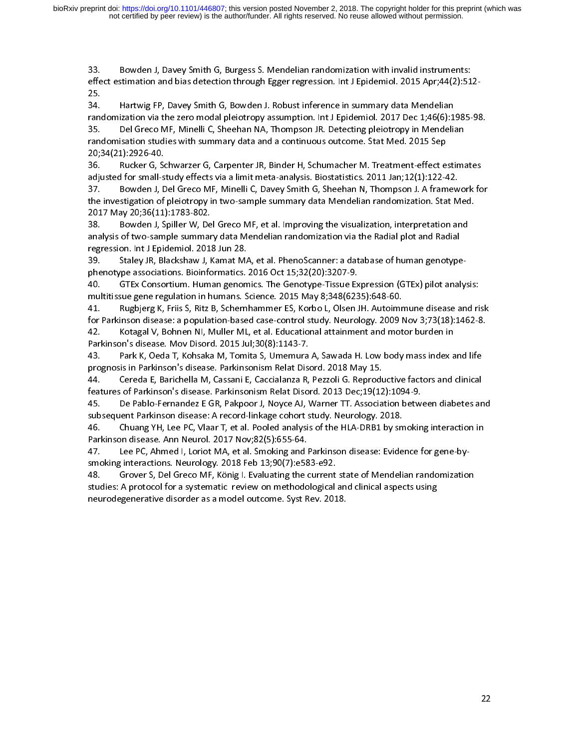133. Bowden J, Davey Smith G, Bowden J, Robust inference in summary data Mendelian<br>134. Hartwig FP, Davey Smith G, Bowden J. Robust inference in summary data Mendelian<br>134. Hartwig FP, Davey Smith G, Bowden J. Robust infer effect of the stimate of the stimate of the stimate of the stimate of the stimate in summary data Mendelian<br>Frandomization via the zero modal pleiotropy assumption. Int J Epidemiol. 2017 Dec 1;46(6):1985-98<br>35. Del Greco M 34.<br>rand<br>35.<br>rand<br>20;3<br>36.<br>adju randomization via the zero modal pleiotropy assumption. Int J Epidemiol. 2017 Dec 1;46(6):1<br>35. Del Greco MF, Minelli C, Sheehan NA, Thompson JR. Detecting pleiotropy in Mendelia<br>randomisation studies with summary data and 35. Del Greco MF, Minelli C, Sheehan NA, Thompson JR. Detecting pleiotropy in Mendelian<br>randomisation studies with summary data and a continuous outcome. Stat Med. 2015 Sep<br>20;34(21):2926-40.<br>36. Rucker G, Schwarzer G, Car

35. Bowden J, Spiller W, Del Greco MF, et al. Improving the visualization, interpretation and a continuous outcome. Stat Med. 2015 Sep 20;34(21):2926-40.<br>36. Rucker G, Schwarzer G, Carpenter JR, Binder H, Schumacher M. Tre 20;34(21):2926-40.<br>20;34(21):2926-40.<br>36. Rucker G, Schwarzer G, Carpenter JR, Binder H, Schumacher M. Treatment-effect e<br>adjusted for small-study effects via a limit meta-analysis. Biostatistics. 2011 Jan;12(1):122-4<br>37. 20;34(21):2926-40. adjusted for small-study effects via a limit meta-analysis. Biostatistics. 2011 Jan;12(1):122-42.<br>adjusted for small-study effects via a limit meta-analysis. Biostatistics. 2011 Jan;12(1):122-42.<br>37. Bowden J, Del Greco MF adjusted for small-study of small-study of Sheehan N, Thompson J. A framew<br>37. Bowden J, Del Greco MF, Minelli C, Davey Smith G, Sheehan N, Thompson J. A framew<br>the investigation of pleiotropy in two-sample summary data Me

the investigation of pleiotropy in two-sample summary data Mendelian randomization. Stat Med.<br>2017 May 20;36(11):1783-802.<br>38. Bowden J, Spiller W, Del Greco MF, et al. Improving the visualization, interpretation and<br>analy 2017 May 20;36(11):1783-802.<br>38. Bowden J, Spiller W, Del Greco MF, et al. Improving the visualization, interpretation and<br>analysis of two-sample summary data Mendelian randomization via the Radial plot and Radial<br>regressi 2017 May 2018 12, 2018<br>2018 Bowden J, Spiller W, De<br>2018 analysis of two-sample summar<br>regression. Int J Epidemiol. 2013<br>2018 Staley JR, Blackshaw J, k<br>phenotype associations. Bioinfo<br>2018 GTEx Consortium. Huma<br>2018 Hall B analysis of two-sample summary data Mendelian randomization via the Radial plot and Radial<br>regression. Int J Epidemiol. 2018 Jun 28.<br>39. Staley JR, Blackshaw J, Kamat MA, et al. PhenoScanner: a database of human genotype-<br>

analysis on. Int J Epidemiol. 2018 Jun 28.<br>
39. Staley JR, Blackshaw J, Kamat MA, et al. PhenoScanner: a database of human genotype<br>
phenotype associations. Bioinformatics. 2016 Oct 15;32(20):3207-9.<br>
40. GTEx Consortium. France Staley JR, Blackshaw J, Kamat MA<br>29. Staley JR, Blackshaw J, Kamat MA<br>phenotype associations. Bioinformatics.<br>40. GTEx Consortium. Human genom<br>multitissue gene regulation in humans. S<br>41. Rugbjerg K, Friis S, Ritz B phenomics. The Genotype-Tissue Ex<br>multitissue gene regulation in humans. Science. 2015 May 8;348(623<br>41. Rugbjerg K, Friis S, Ritz B, Schernhammer ES, Korbo L, Olsen J<br>for Parkinson disease: a population-based case-control multitissue gene regulation in humans. Science. 2015 May 8;348(6235):648-60.<br>41. Rugbjerg K, Friis S, Ritz B, Schernhammer ES, Korbo L, Olsen JH. Autoimmune disease and rifor Parkinson disease: a population-based case-cont 41. Rugbjerg K, Friis S, Ritz B, Schernhammer ES, Korbo L, Olsen JH. Autoimr<br>for Parkinson disease: a population-based case-control study. Neurology. 2009 M<br>42. Kotagal V, Bohnen NI, Muller ML, et al. Educational attainmen

43. Park K, Oeda T, Kohsaka M, Tomita S, Umemura A, Sawada H. Low body mass index and life

for Parkinson disease: a population-based case-control study. Neurology. 2009 Nov 3;73(18):1462-8.<br>42. Kotagal V, Bohnen NI, Muller ML, et al. Educational attainment and motor burden in<br>Parkinson's disease. Mov Disord. 201 42. Kotagal V, Bohnen NI, Muller ML, et al. Educational attainment and motor burden in<br>Parkinson's disease. Mov Disord. 2015 Jul;30(8):1143-7.<br>43. Park K, Oeda T, Kohsaka M, Tomita S, Umemura A, Sawada H. Low body mass ind

Parkinson's disease. Mov Disord. 2015 Jul;30(8):1143-7.<br>43. Park K, Oeda T, Kohsaka M, Tomita S, Umemura A, Sawada H. Low body mass index a<br>prognosis in Parkinson's disease. Parkinsonism Relat Disord. 2018 May 15.<br>44 Parkinson's disease. Mov Disord. 2015 Jul;30(8):1143-7.<br>43. Park K, Oeda T, Kohsaka M, Tomita S, Umemura<br>prognosis in Parkinson's disease. Parkinsonism Relat Dise<br>44. Cereda E, Barichella M, Cassani E, Caccialanza R,<br>featu prognosis in Parkinson's disease. Parkinsonism Relat Disord. 2018 May 15.<br>44. Cereda E, Barichella M, Cassani E, Caccialanza R, Pezzoli G. Reproductive factors and clinical<br>features of Parkinson's disease. Parkinsonism Rel prognosis in Parkinson's disease. Parkinsonism Relat Disord. 2018 May 15.<br>44. Cereda E, Barichella M, Cassani E, Caccialanza R, Pezzoli G. Reprodu<br>features of Parkinson's disease. Parkinsonism Relat Disord. 2013 Dec;19(12<br> Features of Parkinson's disease. Parkinsonism Relat Disord. 2013 Dec;19(12):1094-9.<br>45. De Pablo-Fernandez E GR, Pakpoor J, Noyce AJ, Warner TT. Association between diabetes an<br>subsequent Parkinson disease: A record-linkag features of Parkinson's disease. Parkinsonism Relat Disord. 2013 Dec;19(12):1094-9.<br>45. De Pablo-Fernandez E GR, Pakpoor J, Noyce AJ, Warner TT. Association betwert<br>subsequent Parkinson disease: A record-linkage coho

subsequent Parkinson disease: A record-linkage cohort study. Neurology. 2018.<br>46. Chuang YH, Lee PC, Vlaar T, et al. Pooled analysis of the HLA-DRB1 by smoking interaction in<br>Parkinson disease. Ann Neurol. 2017 Nov;82(5):6 subsequent Parkinson disease. Ann Neurol. 2017 Nov;82(5):655-64.<br>Parkinson disease. Ann Neurol. 2017 Nov;82(5):655-64.<br>47. Lee PC, Ahmed I, Loriot MA, et al. Smoking and Parkinson disease: Evide<br>smoking interactions. Neuro Parkinson disease. Ann Neurol. 2017 Nov;82(5):655-64.<br>47. Lee PC, Ahmed I, Loriot MA, et al. Smoking and Parkinson disease: Evidence for gene-by-<br>smoking interactions. Neurology. 2018 Feb 13;90(7):e583-e92.<br>48. Grover S, D Parkinson disease. Ann Neurol. 2017 Nov;82(5):655-64.<br>47. Lee PC, Ahmed I, Loriot MA, et al. Smoking and Parkinson disease: Evidence for gene-by-<br>5 smoking interactions. Neurology. 2018 Feb 13;90(7):e583-e92.<br>48. Grover S, Shower S, Del Greco MF, König I. Evaluating the current<br>studies: A protocol for a systematic review on methodological<br>neurodegenerative disorder as a model outcome. Syst Rev. 201 tudies: A protocol for a systematic review on methodological and clinical aspects using<br>neurodegenerative disorder as a model outcome. Syst Rev. 2018.<br>The current state of Mendelian randomization randomization randomizatio statution: A protocol for a systematic review on methodological and clinical applications, and clinical aspects using the component of the component of the component of the component of the component of the component of th neurodegenerative disorder as a model outcome. Syst Rev. 2018.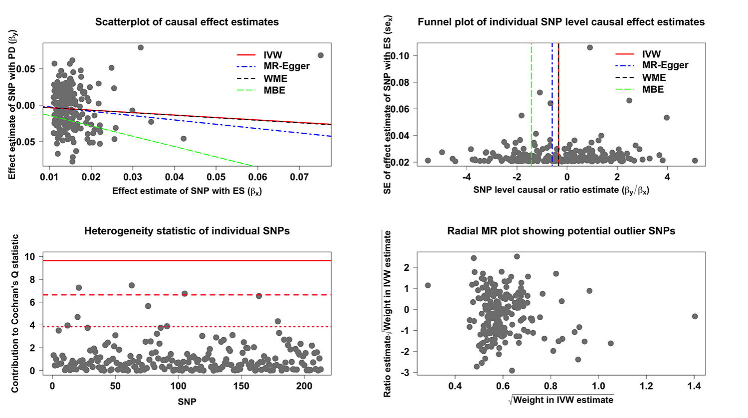

100

**SNP** 

150

200

 $\overline{\mathbf{2}}$ 

 $\Omega$ 

 $\bf{0}$ 

50

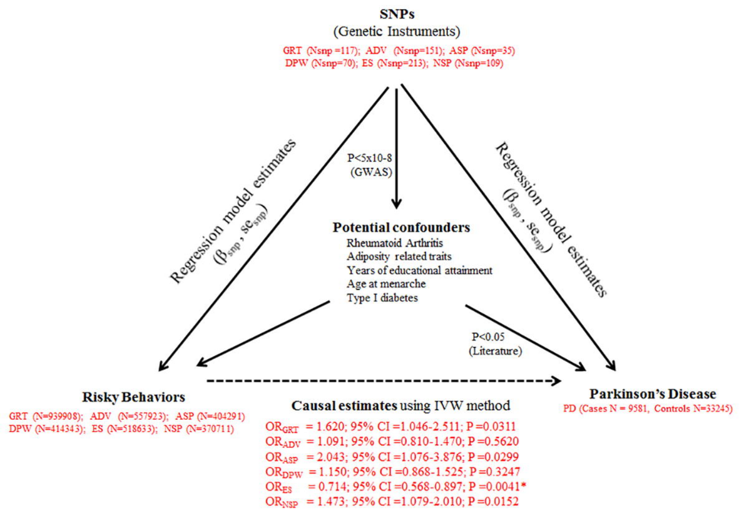

OR<sub>NSP</sub> = 1.473; 95% CI = 1.079-2.010; P = 0.0152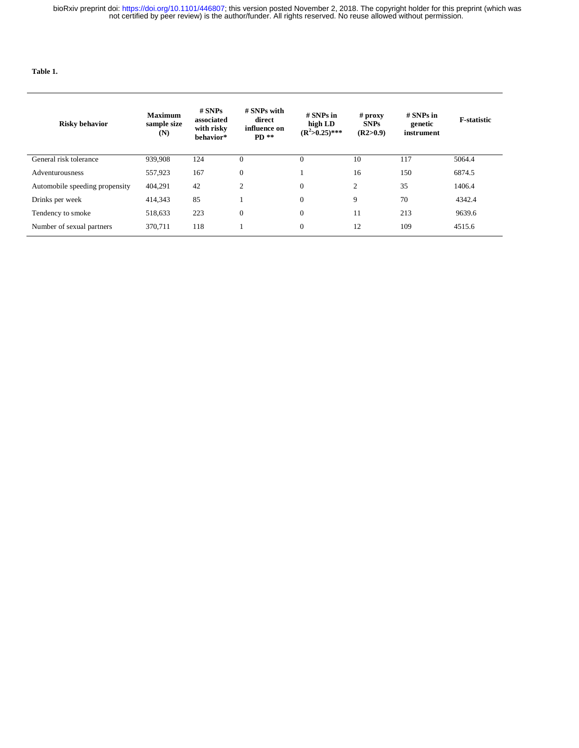$\sim$ 

#### **Table 1.**

I

| <b>Risky behavior</b>          | <b>Maximum</b><br>sample size<br>(N) | $#$ SNPs<br>associated<br>with risky<br>behavior* | # SNPs with<br>direct<br>influence on<br>$PD$ ** | $#$ SNPs in<br>high LD<br>$(R^2>0.25)$ *** | $#$ proxy<br><b>SNPs</b><br>(R2>0.9) | $#$ SNPs in<br>genetic<br>instrument | <b>F-statistic</b> |
|--------------------------------|--------------------------------------|---------------------------------------------------|--------------------------------------------------|--------------------------------------------|--------------------------------------|--------------------------------------|--------------------|
| General risk tolerance         | 939.908                              | 124                                               | $\theta$                                         | $\theta$                                   | 10                                   | 117                                  | 5064.4             |
| Adventurousness                | 557,923                              | 167                                               | $\theta$                                         |                                            | 16                                   | 150                                  | 6874.5             |
| Automobile speeding propensity | 404,291                              | 42                                                | 2                                                | $\mathbf{0}$                               | 2                                    | 35                                   | 1406.4             |
| Drinks per week                | 414,343                              | 85                                                |                                                  | $\overline{0}$                             | 9                                    | 70                                   | 4342.4             |
| Tendency to smoke              | 518,633                              | 223                                               | $\mathbf{0}$                                     | $\mathbf{0}$                               | 11                                   | 213                                  | 9639.6             |
| Number of sexual partners      | 370.711                              | 118                                               |                                                  | $\overline{0}$                             | 12                                   | 109                                  | 4515.6             |

 $\mathcal{L}(\mathcal{A})$  and  $\mathcal{L}(\mathcal{A})$  are the set of the set of the set of  $\mathcal{L}(\mathcal{A})$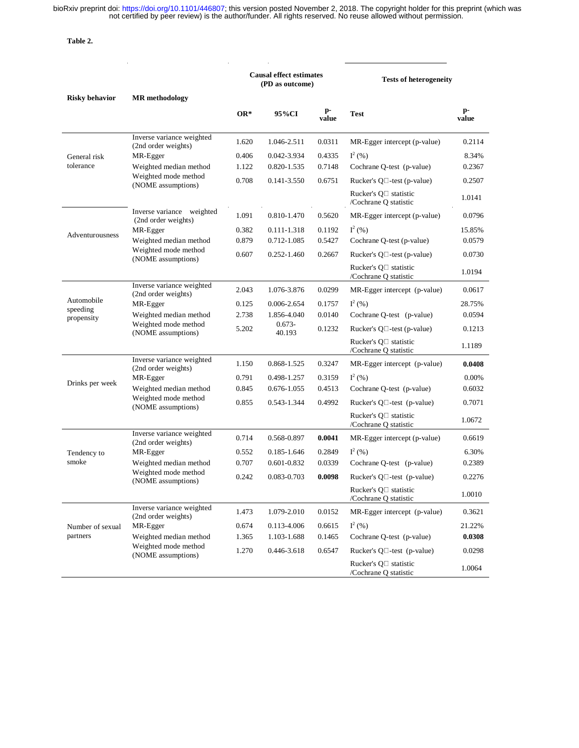**Table 2.** 

|                                      |                                                  |       | <b>Causal effect estimates</b><br>(PD as outcome) |             | <b>Tests of heterogeneity</b>                        |             |  |
|--------------------------------------|--------------------------------------------------|-------|---------------------------------------------------|-------------|------------------------------------------------------|-------------|--|
| <b>Risky behavior</b>                | <b>MR</b> methodology                            | $OR*$ | 95%CI                                             | p-<br>value | Test                                                 | p-<br>value |  |
|                                      | Inverse variance weighted<br>(2nd order weights) | 1.620 | 1.046-2.511                                       | 0.0311      | MR-Egger intercept (p-value)                         | 0.2114      |  |
| General risk                         | MR-Egger                                         | 0.406 | 0.042-3.934                                       | 0.4335      | $I^2(% )$                                            | 8.34%       |  |
| tolerance                            | Weighted median method                           | 1.122 | 0.820-1.535                                       | 0.7148      | Cochrane Q-test (p-value)                            | 0.2367      |  |
|                                      | Weighted mode method<br>(NOME assumptions)       | 0.708 | $0.141 - 3.550$                                   | 0.6751      | Rucker's $Q \Box$ -test (p-value)                    | 0.2507      |  |
|                                      |                                                  |       |                                                   |             | Rucker's $Q \Box$ statistic<br>/Cochrane Q statistic | 1.0141      |  |
|                                      | Inverse variance weighted<br>(2nd order weights) | 1.091 | 0.810-1.470                                       | 0.5620      | MR-Egger intercept (p-value)                         | 0.0796      |  |
|                                      | MR-Egger                                         | 0.382 | 0.111-1.318                                       | 0.1192      | $I^2(% )$                                            | 15.85%      |  |
| Adventurousness                      | Weighted median method                           | 0.879 | 0.712-1.085                                       | 0.5427      | Cochrane Q-test (p-value)                            | 0.0579      |  |
|                                      | Weighted mode method<br>(NOME assumptions)       | 0.607 | 0.252-1.460                                       | 0.2667      | Rucker's $Q \Box$ -test (p-value)                    | 0.0730      |  |
|                                      |                                                  |       |                                                   |             | Rucker's $Q \Box$ statistic<br>/Cochrane O statistic | 1.0194      |  |
|                                      | Inverse variance weighted<br>(2nd order weights) | 2.043 | 1.076-3.876                                       | 0.0299      | MR-Egger intercept (p-value)                         | 0.0617      |  |
| Automobile<br>speeding<br>propensity | MR-Egger                                         | 0.125 | 0.006-2.654                                       | 0.1757      | $I^2(% )$                                            | 28.75%      |  |
|                                      | Weighted median method                           | 2.738 | 1.856-4.040                                       | 0.0140      | Cochrane Q-test (p-value)                            | 0.0594      |  |
|                                      | Weighted mode method<br>(NOME assumptions)       | 5.202 | $0.673 -$<br>40.193                               | 0.1232      | Rucker's $Q \Box$ -test (p-value)                    | 0.1213      |  |
|                                      |                                                  |       |                                                   |             | Rucker's Q□ statistic<br>/Cochrane Q statistic       | 1.1189      |  |
|                                      | Inverse variance weighted<br>(2nd order weights) | 1.150 | 0.868-1.525                                       | 0.3247      | MR-Egger intercept (p-value)                         | 0.0408      |  |
| Drinks per week                      | MR-Egger                                         | 0.791 | 0.498-1.257                                       | 0.3159      | $I^2(% )$                                            | 0.00%       |  |
|                                      | Weighted median method                           | 0.845 | 0.676-1.055                                       | 0.4513      | Cochrane Q-test (p-value)                            | 0.6032      |  |
|                                      | Weighted mode method<br>(NOME assumptions)       | 0.855 | 0.543-1.344                                       | 0.4992      | Rucker's $Q \Box$ -test (p-value)                    | 0.7071      |  |
|                                      |                                                  |       |                                                   |             | Rucker's Q□ statistic<br>/Cochrane Q statistic       | 1.0672      |  |
|                                      | Inverse variance weighted<br>(2nd order weights) | 0.714 | 0.568-0.897                                       | 0.0041      | MR-Egger intercept (p-value)                         | 0.6619      |  |
| Tendency to                          | MR-Egger                                         | 0.552 | 0.185-1.646                                       | 0.2849      | $I^2(% )$                                            | 6.30%       |  |
| smoke                                | Weighted median method                           | 0.707 | 0.601-0.832                                       | 0.0339      | Cochrane Q-test (p-value)                            | 0.2389      |  |
|                                      | Weighted mode method<br>(NOME assumptions)       | 0.242 | 0.083-0.703                                       | 0.0098      | Rucker's $Q \Box$ -test (p-value)                    | 0.2276      |  |
|                                      |                                                  |       |                                                   |             | Rucker's O□ statistic<br>/Cochrane Q statistic       | 1.0010      |  |
|                                      | Inverse variance weighted<br>(2nd order weights) | 1.473 | 1.079-2.010                                       | 0.0152      | MR-Egger intercept (p-value)                         | 0.3621      |  |
| Number of sexual                     | MR-Egger                                         | 0.674 | 0.113-4.006                                       | 0.6615      | $I^2(% )$                                            | 21.22%      |  |
| partners                             | Weighted median method                           | 1.365 | 1.103-1.688                                       | 0.1465      | Cochrane O-test (p-value)                            | 0.0308      |  |
|                                      | Weighted mode method<br>(NOME assumptions)       | 1.270 | 0.446-3.618                                       | 0.6547      | Rucker's $O \square$ -test (p-value)                 | 0.0298      |  |
|                                      |                                                  |       |                                                   |             | Rucker's Q□ statistic<br>/Cochrane Q statistic       | 1.0064      |  |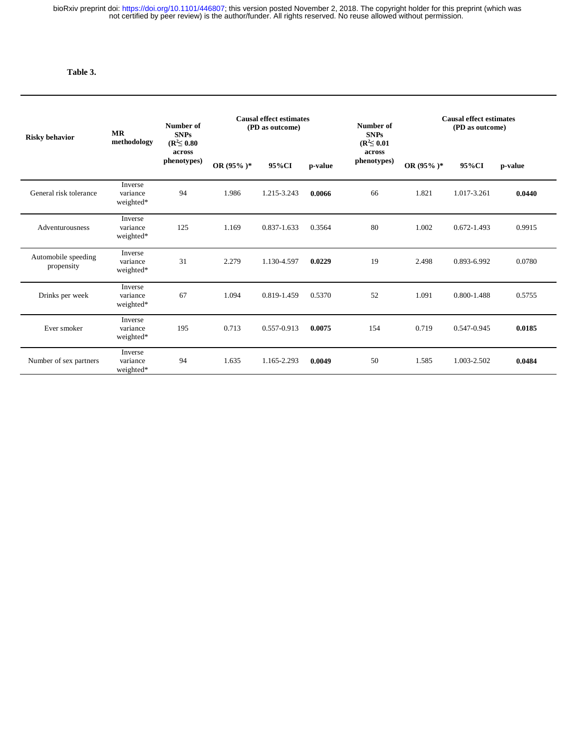# **Table 3.**

I

| <b>Risky behavior</b>             | <b>MR</b><br>methodology         | Number of<br><b>SNPs</b><br>$(R^2 \le 0.80)$<br>across<br>phenotypes) | <b>Causal effect estimates</b><br>(PD as outcome) |             |         | Number of<br><b>SNPs</b><br>$(R^2 \le 0.01)$ | <b>Causal effect estimates</b><br>(PD as outcome) |             |         |
|-----------------------------------|----------------------------------|-----------------------------------------------------------------------|---------------------------------------------------|-------------|---------|----------------------------------------------|---------------------------------------------------|-------------|---------|
|                                   |                                  |                                                                       | OR $(95\%)^*$                                     | 95%CI       | p-value | across<br>phenotypes)                        | OR $(95\%)^*$                                     | 95%CI       | p-value |
| General risk tolerance            | Inverse<br>variance<br>weighted* | 94                                                                    | 1.986                                             | 1.215-3.243 | 0.0066  | 66                                           | 1.821                                             | 1.017-3.261 | 0.0440  |
| Adventurousness                   | Inverse<br>variance<br>weighted* | 125                                                                   | 1.169                                             | 0.837-1.633 | 0.3564  | 80                                           | 1.002                                             | 0.672-1.493 | 0.9915  |
| Automobile speeding<br>propensity | Inverse<br>variance<br>weighted* | 31                                                                    | 2.279                                             | 1.130-4.597 | 0.0229  | 19                                           | 2.498                                             | 0.893-6.992 | 0.0780  |
| Drinks per week                   | Inverse<br>variance<br>weighted* | 67                                                                    | 1.094                                             | 0.819-1.459 | 0.5370  | 52                                           | 1.091                                             | 0.800-1.488 | 0.5755  |
| Ever smoker                       | Inverse<br>variance<br>weighted* | 195                                                                   | 0.713                                             | 0.557-0.913 | 0.0075  | 154                                          | 0.719                                             | 0.547-0.945 | 0.0185  |
| Number of sex partners            | Inverse<br>variance<br>weighted* | 94                                                                    | 1.635                                             | 1.165-2.293 | 0.0049  | 50                                           | 1.585                                             | 1.003-2.502 | 0.0484  |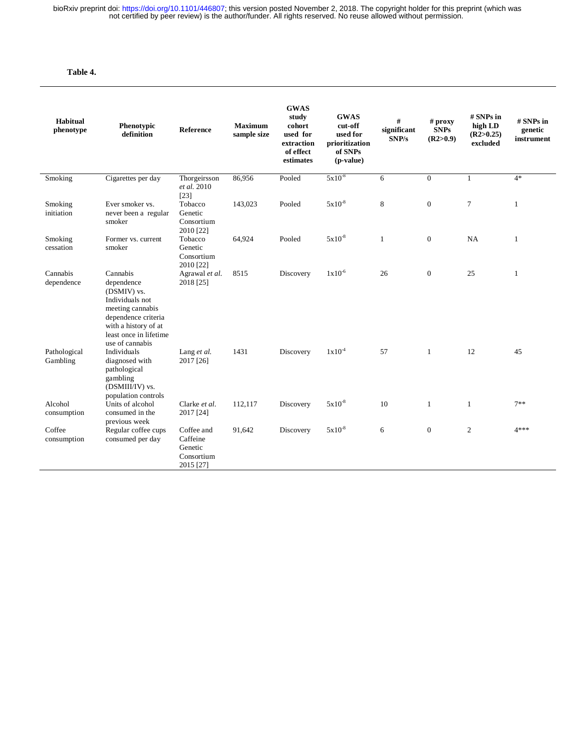# **Table 4.**

| Habitual<br>phenotype    | Phenotypic<br>definition                                                                                                                                                 | <b>Reference</b>                                             | <b>Maximum</b><br>sample size | <b>GWAS</b><br>study<br>cohort<br>used for<br>extraction<br>of effect<br>estimates | <b>GWAS</b><br>cut-off<br>used for<br>prioritization<br>of SNPs<br>(p-value) | #<br>significant<br>SNP/s | $#$ proxy<br><b>SNPs</b><br>(R2>0.9) | # SNPs in<br>high LD<br>(R2>0.25)<br>excluded | # SNPs in<br>genetic<br>instrument |
|--------------------------|--------------------------------------------------------------------------------------------------------------------------------------------------------------------------|--------------------------------------------------------------|-------------------------------|------------------------------------------------------------------------------------|------------------------------------------------------------------------------|---------------------------|--------------------------------------|-----------------------------------------------|------------------------------------|
| Smoking                  | Cigarettes per day                                                                                                                                                       | Thorgeirsson<br>et al. 2010<br>$[23]$                        | 86,956                        | Pooled                                                                             | $5x10^{-8}$                                                                  | 6                         | $\mathbf{0}$                         | $\mathbf{1}$                                  | $4*$                               |
| Smoking<br>initiation    | Ever smoker vs.<br>never been a regular<br>smoker                                                                                                                        | Tobacco<br>Genetic<br>Consortium<br>2010 [22]                | 143,023                       | Pooled                                                                             | $5x10^{-8}$                                                                  | 8                         | $\mathbf{0}$                         | $\overline{7}$                                | $\mathbf{1}$                       |
| Smoking<br>cessation     | Former vs. current<br>smoker                                                                                                                                             | Tobacco<br>Genetic<br>Consortium<br>2010 [22]                | 64,924                        | Pooled                                                                             | $5x10^{-8}$                                                                  | $\mathbf{1}$              | $\mathbf{0}$                         | NA                                            | $\mathbf{1}$                       |
| Cannabis<br>dependence   | Cannabis<br>dependence<br>(DSMIV) vs.<br>Individuals not<br>meeting cannabis<br>dependence criteria<br>with a history of at<br>least once in lifetime<br>use of cannabis | Agrawal et al.<br>2018 [25]                                  | 8515                          | Discovery                                                                          | $1x10^{-6}$                                                                  | 26                        | $\mathbf{0}$                         | 25                                            | 1                                  |
| Pathological<br>Gambling | Individuals<br>diagnosed with<br>pathological<br>gambling<br>(DSMIII/IV) vs.<br>population controls                                                                      | Lang et al.<br>2017 [26]                                     | 1431                          | Discovery                                                                          | $1x10^{-4}$                                                                  | 57                        | $\mathbf{1}$                         | 12                                            | 45                                 |
| Alcohol<br>consumption   | Units of alcohol<br>consumed in the<br>previous week                                                                                                                     | Clarke et al.<br>2017 [24]                                   | 112,117                       | Discovery                                                                          | $5x10^{-8}$                                                                  | 10                        | 1                                    | $\mathbf{1}$                                  | $7**$                              |
| Coffee<br>consumption    | Regular coffee cups<br>consumed per day                                                                                                                                  | Coffee and<br>Caffeine<br>Genetic<br>Consortium<br>2015 [27] | 91,642                        | Discovery                                                                          | $5x10^{-8}$                                                                  | 6                         | $\mathbf{0}$                         | 2                                             | 4***                               |